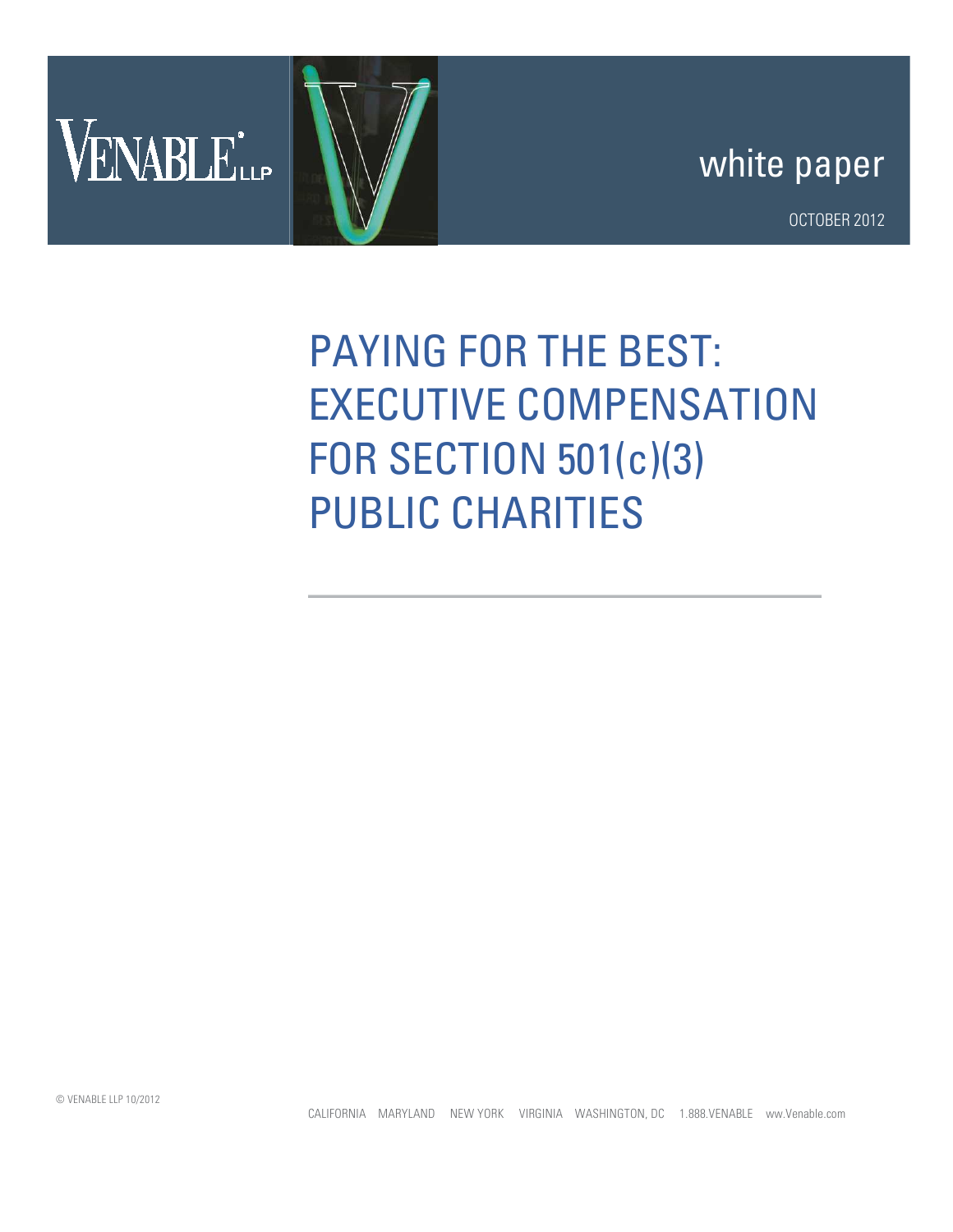



OCTOBER 2012

## PAYING FOR THE BEST: EXECUTIVE COMPENSATION FOR SECTION 501(c)(3) PUBLIC CHARITIES

CALIFORNIA MARYLAND NEW YORK VIRGINIA WASHINGTON, DC 1.888.VENABLE ww.Venable.com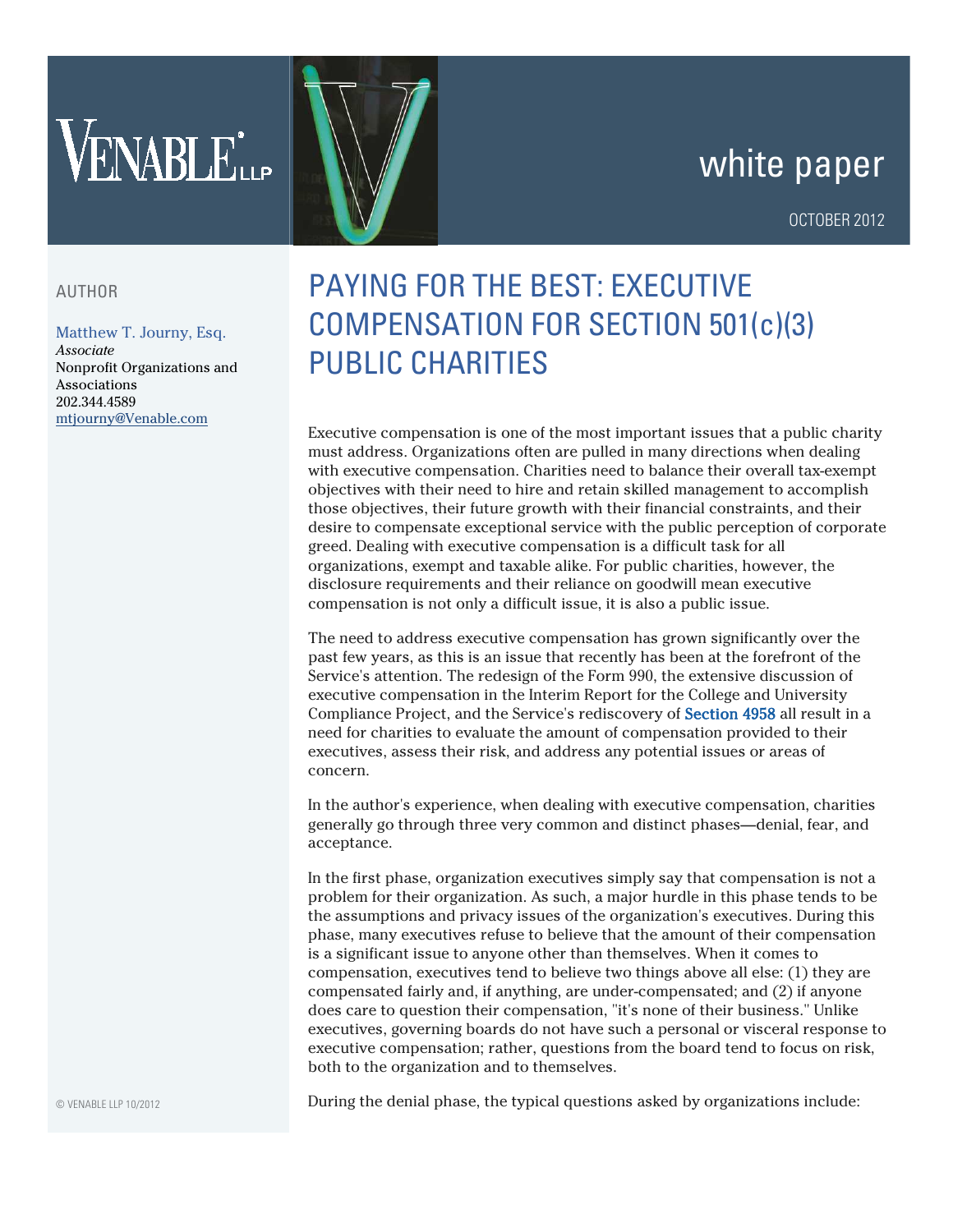# VENABLELLP

## white paper

#### OCTOBER 2012

#### AUTHOR

#### [Matthew T. Journy, Esq](http://www.venable.com/matthew-t-journy/).

*Associate* Nonprofit Organizations and Associations 202.344.4589 mtjourny@Venable.com

### PAYING FOR THE BEST: EXECUTIVE COMPENSATION FOR SECTION 501(c)(3) PUBLIC CHARITIES

Executive compensation is one of the most important issues that a public charity must address. Organizations often are pulled in many directions when dealing with executive compensation. Charities need to balance their overall tax-exempt objectives with their need to hire and retain skilled management to accomplish those objectives, their future growth with their financial constraints, and their desire to compensate exceptional service with the public perception of corporate greed. Dealing with executive compensation is a difficult task for all organizations, exempt and taxable alike. For public charities, however, the disclosure requirements and their reliance on goodwill mean executive compensation is not only a difficult issue, it is also a public issue.

The need to address executive compensation has grown significantly over the past few years, as this is an issue that recently has been at the forefront of the Service's attention. The redesign of the Form 990, the extensive discussion of executive compensation in the Interim Report for the College and University Compliance Project, and the Service's rediscovery of Section 4958 all result in a need for charities to evaluate the amount of compensation provided to their executives, assess their risk, and address any potential issues or areas of concern.

In the author's experience, when dealing with executive compensation, charities generally go through three very common and distinct phases—denial, fear, and acceptance.

In the first phase, organization executives simply say that compensation is not a problem for their organization. As such, a major hurdle in this phase tends to be the assumptions and privacy issues of the organization's executives. During this phase, many executives refuse to believe that the amount of their compensation is a significant issue to anyone other than themselves. When it comes to compensation, executives tend to believe two things above all else: (1) they are compensated fairly and, if anything, are under-compensated; and (2) if anyone does care to question their compensation, "it's none of their business." Unlike executives, governing boards do not have such a personal or visceral response to executive compensation; rather, questions from the board tend to focus on risk, both to the organization and to themselves.

During the denial phase, the typical questions asked by organizations include: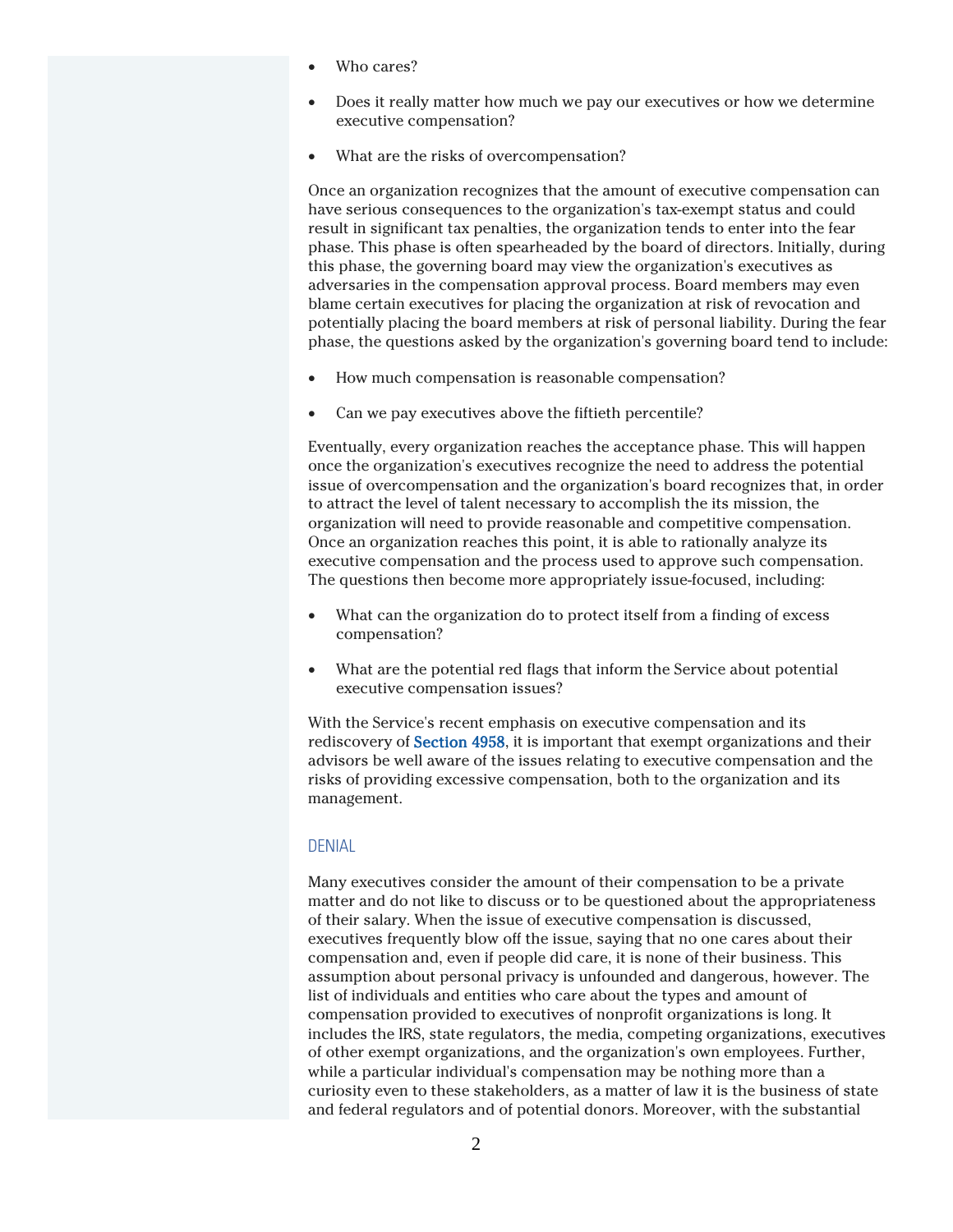- Who cares?
- Does it really matter how much we pay our executives or how we determine executive compensation?
- What are the risks of overcompensation?

Once an organization recognizes that the amount of executive compensation can have serious consequences to the organization's tax-exempt status and could result in significant tax penalties, the organization tends to enter into the fear phase. This phase is often spearheaded by the board of directors. Initially, during this phase, the governing board may view the organization's executives as adversaries in the compensation approval process. Board members may even blame certain executives for placing the organization at risk of revocation and potentially placing the board members at risk of personal liability. During the fear phase, the questions asked by the organization's governing board tend to include:

- How much compensation is reasonable compensation?
- Can we pay executives above the fiftieth percentile?

Eventually, every organization reaches the acceptance phase. This will happen once the organization's executives recognize the need to address the potential issue of overcompensation and the organization's board recognizes that, in order to attract the level of talent necessary to accomplish the its mission, the organization will need to provide reasonable and competitive compensation. Once an organization reaches this point, it is able to rationally analyze its executive compensation and the process used to approve such compensation. The questions then become more appropriately issue-focused, including:

- What can the organization do to protect itself from a finding of excess compensation?
- What are the potential red flags that inform the Service about potential executive compensation issues?

With the Service's recent emphasis on executive compensation and its rediscovery of Section 4958, it is important that exempt organizations and their advisors be well aware of the issues relating to executive compensation and the risks of providing excessive compensation, both to the organization and its management.

#### DENIAL

Many executives consider the amount of their compensation to be a private matter and do not like to discuss or to be questioned about the appropriateness of their salary. When the issue of executive compensation is discussed, executives frequently blow off the issue, saying that no one cares about their compensation and, even if people did care, it is none of their business. This assumption about personal privacy is unfounded and dangerous, however. The list of individuals and entities who care about the types and amount of compensation provided to executives of nonprofit organizations is long. It includes the IRS, state regulators, the media, competing organizations, executives of other exempt organizations, and the organization's own employees. Further, while a particular individual's compensation may be nothing more than a curiosity even to these stakeholders, as a matter of law it is the business of state and federal regulators and of potential donors. Moreover, with the substantial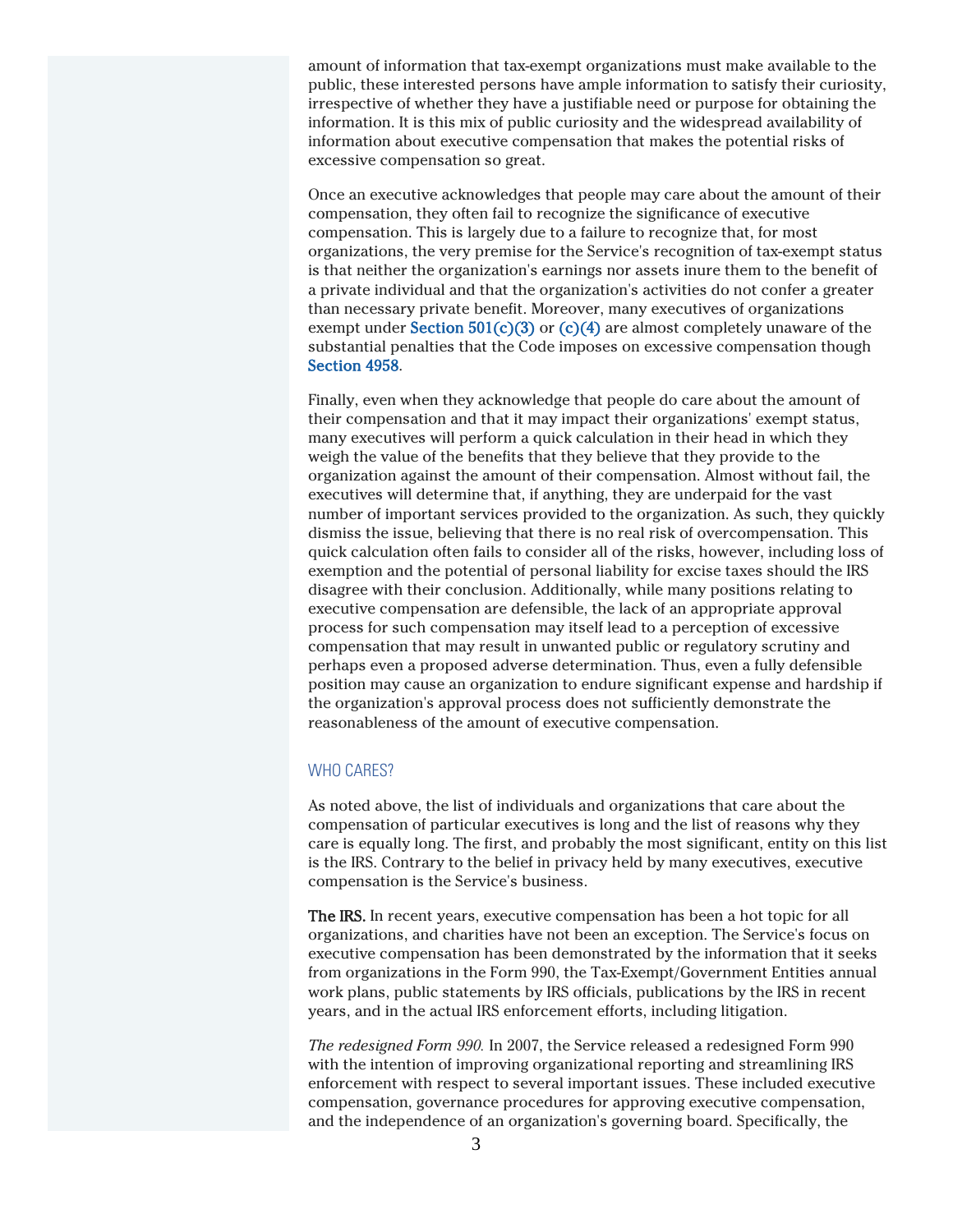amount of information that tax-exempt organizations must make available to the public, these interested persons have ample information to satisfy their curiosity, irrespective of whether they have a justifiable need or purpose for obtaining the information. It is this mix of public curiosity and the widespread availability of information about executive compensation that makes the potential risks of excessive compensation so great.

Once an executive acknowledges that people may care about the amount of their compensation, they often fail to recognize the significance of executive compensation. This is largely due to a failure to recognize that, for most organizations, the very premise for the Service's recognition of tax-exempt status is that neither the organization's earnings nor assets inure them to the benefit of a private individual and that the organization's activities do not confer a greater than necessary private benefit. Moreover, many executives of organizations exempt under Section  $501(c)(3)$  or  $(c)(4)$  are almost completely unaware of the substantial penalties that the Code imposes on excessive compensation though Section 4958.

Finally, even when they acknowledge that people do care about the amount of their compensation and that it may impact their organizations' exempt status, many executives will perform a quick calculation in their head in which they weigh the value of the benefits that they believe that they provide to the organization against the amount of their compensation. Almost without fail, the executives will determine that, if anything, they are underpaid for the vast number of important services provided to the organization. As such, they quickly dismiss the issue, believing that there is no real risk of overcompensation. This quick calculation often fails to consider all of the risks, however, including loss of exemption and the potential of personal liability for excise taxes should the IRS disagree with their conclusion. Additionally, while many positions relating to executive compensation are defensible, the lack of an appropriate approval process for such compensation may itself lead to a perception of excessive compensation that may result in unwanted public or regulatory scrutiny and perhaps even a proposed adverse determination. Thus, even a fully defensible position may cause an organization to endure significant expense and hardship if the organization's approval process does not sufficiently demonstrate the reasonableness of the amount of executive compensation.

#### WHO CARES?

As noted above, the list of individuals and organizations that care about the compensation of particular executives is long and the list of reasons why they care is equally long. The first, and probably the most significant, entity on this list is the IRS. Contrary to the belief in privacy held by many executives, executive compensation is the Service's business.

The IRS. In recent years, executive compensation has been a hot topic for all organizations, and charities have not been an exception. The Service's focus on executive compensation has been demonstrated by the information that it seeks from organizations in the Form 990, the Tax-Exempt/Government Entities annual work plans, public statements by IRS officials, publications by the IRS in recent years, and in the actual IRS enforcement efforts, including litigation.

*The redesigned Form 990.* In 2007, the Service released a redesigned Form 990 with the intention of improving organizational reporting and streamlining IRS enforcement with respect to several important issues. These included executive compensation, governance procedures for approving executive compensation, and the independence of an organization's governing board. Specifically, the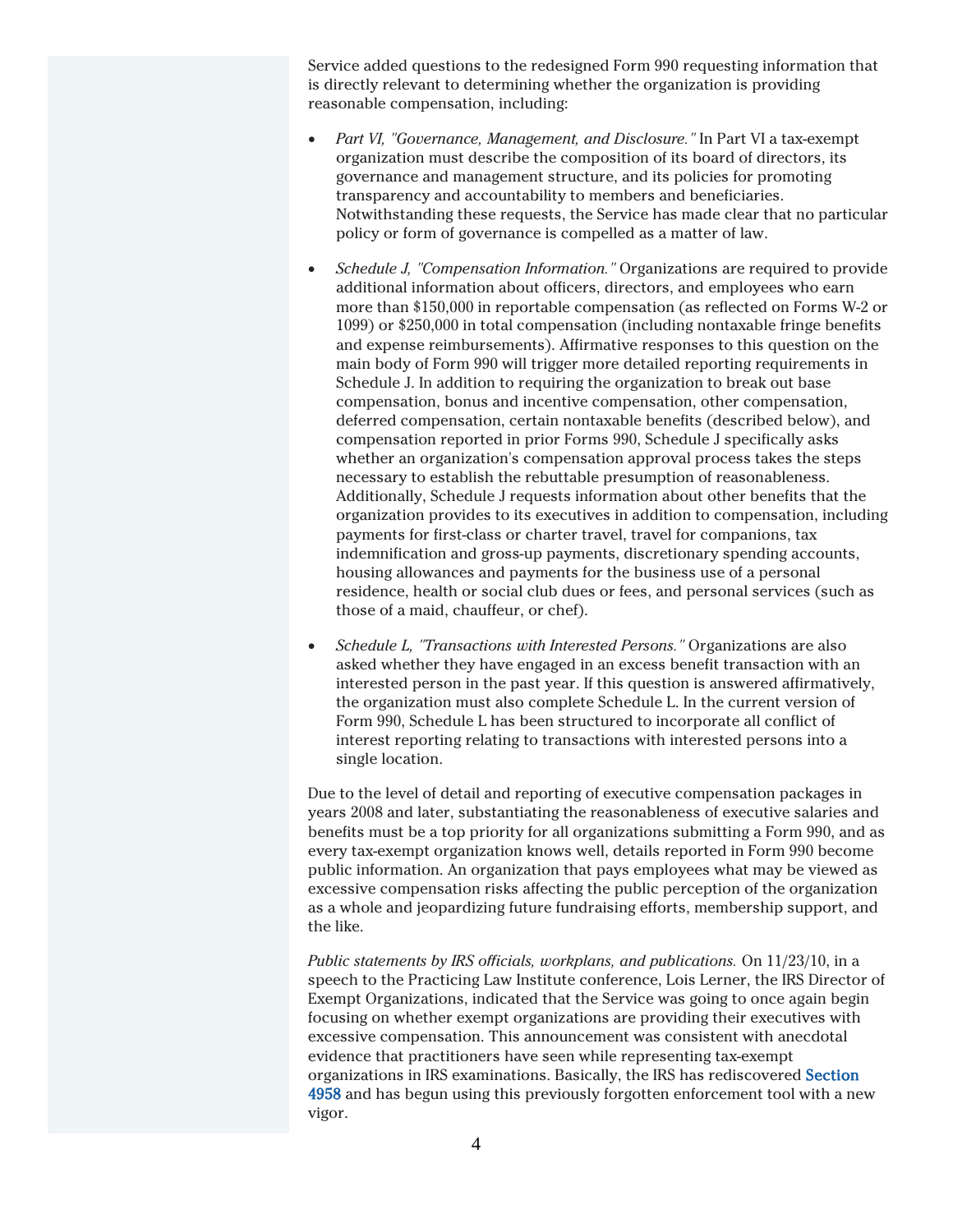Service added questions to the redesigned Form 990 requesting information that is directly relevant to determining whether the organization is providing reasonable compensation, including:

- *Part VI, "Governance, Management, and Disclosure."* In Part VI a tax-exempt organization must describe the composition of its board of directors, its governance and management structure, and its policies for promoting transparency and accountability to members and beneficiaries. Notwithstanding these requests, the Service has made clear that no particular policy or form of governance is compelled as a matter of law.
- *Schedule J, "Compensation Information."* Organizations are required to provide additional information about officers, directors, and employees who earn more than \$150,000 in reportable compensation (as reflected on Forms W-2 or 1099) or \$250,000 in total compensation (including nontaxable fringe benefits and expense reimbursements). Affirmative responses to this question on the main body of Form 990 will trigger more detailed reporting requirements in Schedule J. In addition to requiring the organization to break out base compensation, bonus and incentive compensation, other compensation, deferred compensation, certain nontaxable benefits (described below), and compensation reported in prior Forms 990, Schedule J specifically asks whether an organization's compensation approval process takes the steps necessary to establish the rebuttable presumption of reasonableness. Additionally, Schedule J requests information about other benefits that the organization provides to its executives in addition to compensation, including payments for first-class or charter travel, travel for companions, tax indemnification and gross-up payments, discretionary spending accounts, housing allowances and payments for the business use of a personal residence, health or social club dues or fees, and personal services (such as those of a maid, chauffeur, or chef).
- *Schedule L, "Transactions with Interested Persons."* Organizations are also asked whether they have engaged in an excess benefit transaction with an interested person in the past year. If this question is answered affirmatively, the organization must also complete Schedule L. In the current version of Form 990, Schedule L has been structured to incorporate all conflict of interest reporting relating to transactions with interested persons into a single location.

Due to the level of detail and reporting of executive compensation packages in years 2008 and later, substantiating the reasonableness of executive salaries and benefits must be a top priority for all organizations submitting a Form 990, and as every tax-exempt organization knows well, details reported in Form 990 become public information. An organization that pays employees what may be viewed as excessive compensation risks affecting the public perception of the organization as a whole and jeopardizing future fundraising efforts, membership support, and the like.

*Public statements by IRS officials, workplans, and publications.* On 11/23/10, in a speech to the Practicing Law Institute conference, Lois Lerner, the IRS Director of Exempt Organizations, indicated that the Service was going to once again begin focusing on whether exempt organizations are providing their executives with excessive compensation. This announcement was consistent with anecdotal evidence that practitioners have seen while representing tax-exempt organizations in IRS examinations. Basically, the IRS has rediscovered Section 4958 and has begun using this previously forgotten enforcement tool with a new vigor.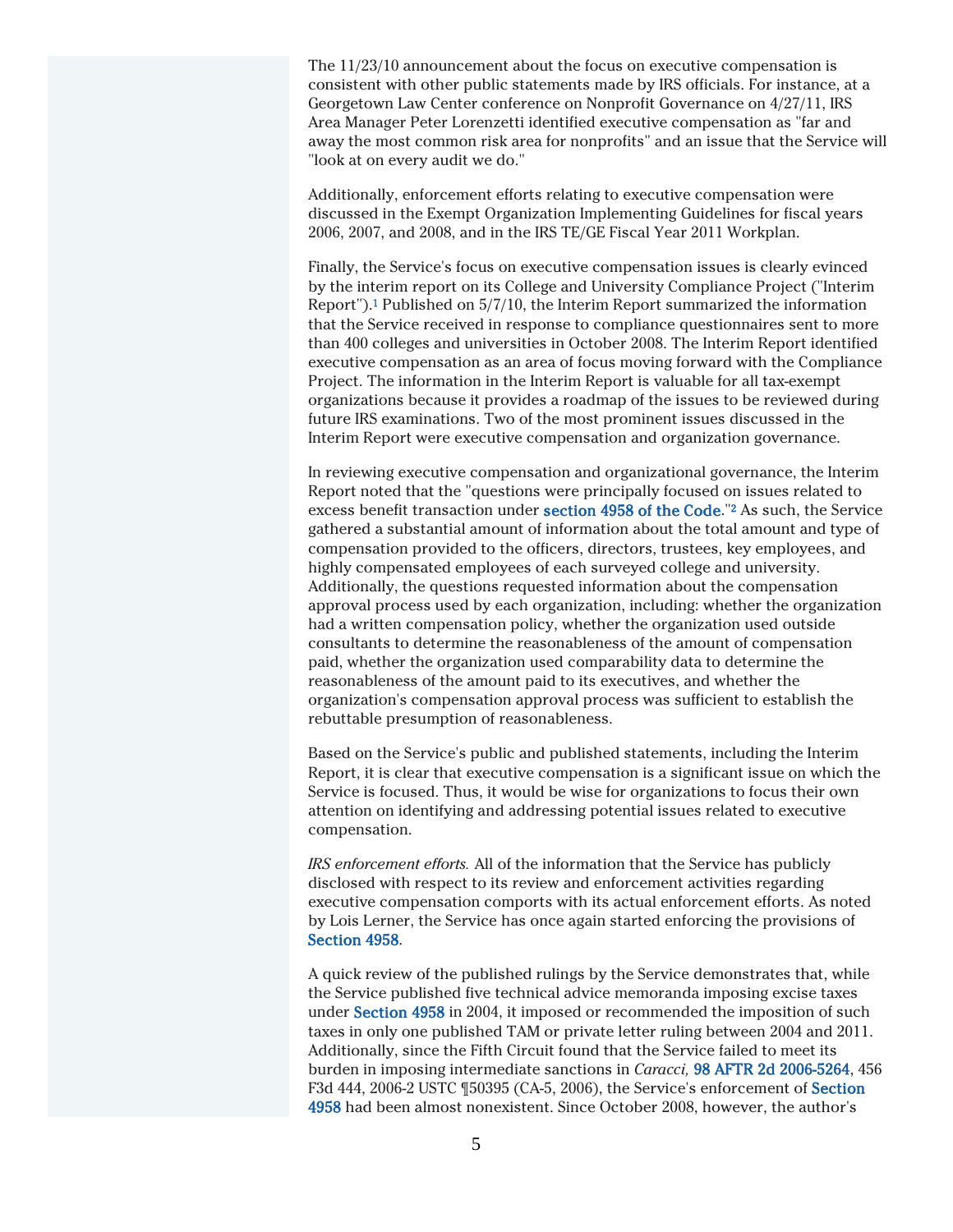The 11/23/10 announcement about the focus on executive compensation is consistent with other public statements made by IRS officials. For instance, at a Georgetown Law Center conference on Nonprofit Governance on 4/27/11, IRS Area Manager Peter Lorenzetti identified executive compensation as "far and away the most common risk area for nonprofits" and an issue that the Service will "look at on every audit we do."

Additionally, enforcement efforts relating to executive compensation were discussed in the Exempt Organization Implementing Guidelines for fiscal years 2006, 2007, and 2008, and in the IRS TE/GE Fiscal Year 2011 Workplan.

Finally, the Service's focus on executive compensation issues is clearly evinced by the interim report on its College and University Compliance Project ("Interim Report").<sup>1</sup> Published on 5/7/10, the Interim Report summarized the information that the Service received in response to compliance questionnaires sent to more than 400 colleges and universities in October 2008. The Interim Report identified executive compensation as an area of focus moving forward with the Compliance Project. The information in the Interim Report is valuable for all tax-exempt organizations because it provides a roadmap of the issues to be reviewed during future IRS examinations. Two of the most prominent issues discussed in the Interim Report were executive compensation and organization governance.

In reviewing executive compensation and organizational governance, the Interim Report noted that the "questions were principally focused on issues related to excess benefit transaction under section 4958 of the Code."<sup>2</sup> As such, the Service gathered a substantial amount of information about the total amount and type of compensation provided to the officers, directors, trustees, key employees, and highly compensated employees of each surveyed college and university. Additionally, the questions requested information about the compensation approval process used by each organization, including: whether the organization had a written compensation policy, whether the organization used outside consultants to determine the reasonableness of the amount of compensation paid, whether the organization used comparability data to determine the reasonableness of the amount paid to its executives, and whether the organization's compensation approval process was sufficient to establish the rebuttable presumption of reasonableness.

Based on the Service's public and published statements, including the Interim Report, it is clear that executive compensation is a significant issue on which the Service is focused. Thus, it would be wise for organizations to focus their own attention on identifying and addressing potential issues related to executive compensation.

*IRS enforcement efforts.* All of the information that the Service has publicly disclosed with respect to its review and enforcement activities regarding executive compensation comports with its actual enforcement efforts. As noted by Lois Lerner, the Service has once again started enforcing the provisions of Section 4958.

A quick review of the published rulings by the Service demonstrates that, while the Service published five technical advice memoranda imposing excise taxes under Section 4958 in 2004, it imposed or recommended the imposition of such taxes in only one published TAM or private letter ruling between 2004 and 2011. Additionally, since the Fifth Circuit found that the Service failed to meet its burden in imposing intermediate sanctions in *Caracci,* 98 AFTR 2d 2006-5264, 456 F3d 444, 2006-2 USTC ¶50395 (CA-5, 2006), the Service's enforcement of Section 4958 had been almost nonexistent. Since October 2008, however, the author's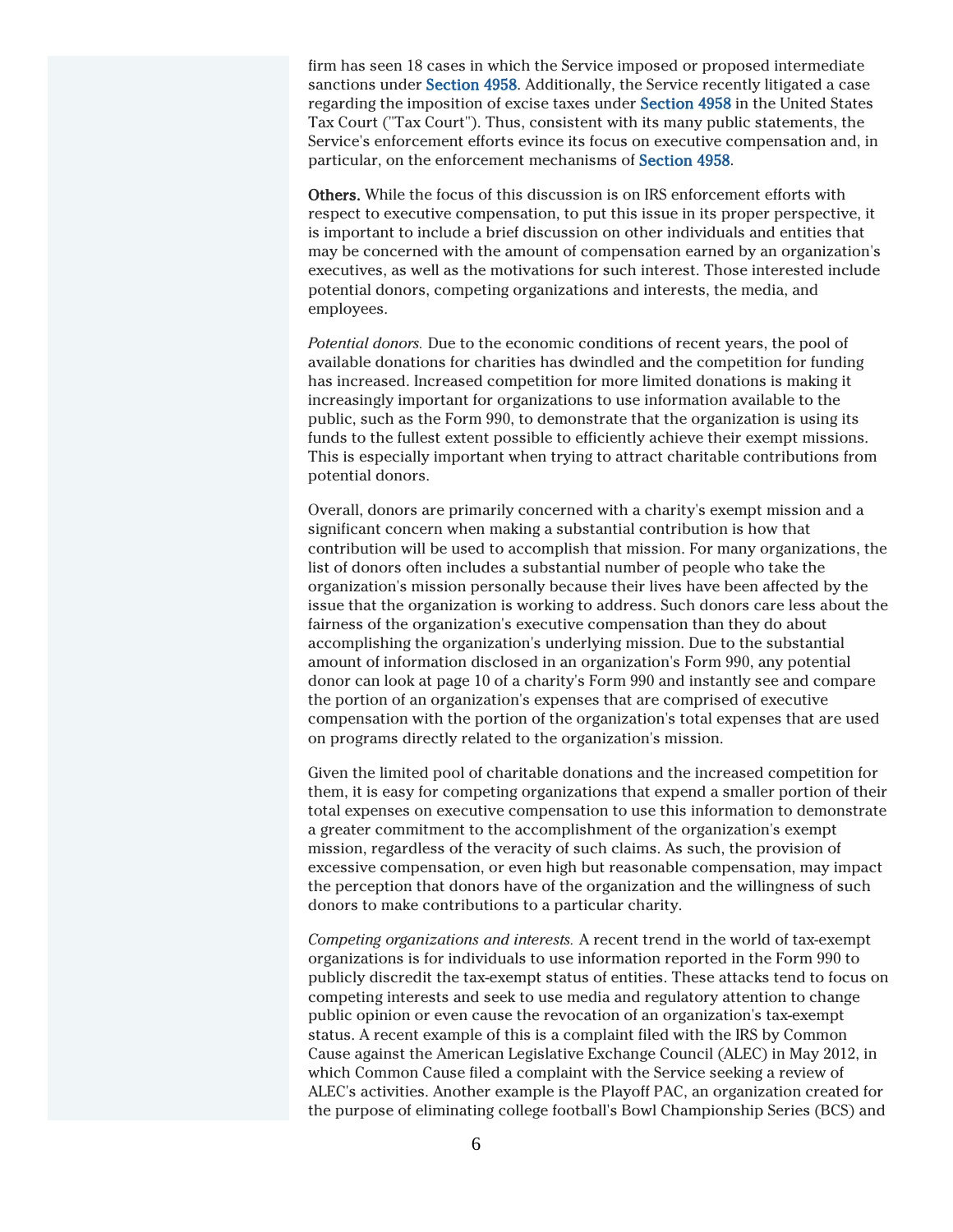firm has seen 18 cases in which the Service imposed or proposed intermediate sanctions under Section 4958. Additionally, the Service recently litigated a case regarding the imposition of excise taxes under Section 4958 in the United States Tax Court ("Tax Court"). Thus, consistent with its many public statements, the Service's enforcement efforts evince its focus on executive compensation and, in particular, on the enforcement mechanisms of Section 4958.

Others. While the focus of this discussion is on IRS enforcement efforts with respect to executive compensation, to put this issue in its proper perspective, it is important to include a brief discussion on other individuals and entities that may be concerned with the amount of compensation earned by an organization's executives, as well as the motivations for such interest. Those interested include potential donors, competing organizations and interests, the media, and employees.

*Potential donors.* Due to the economic conditions of recent years, the pool of available donations for charities has dwindled and the competition for funding has increased. Increased competition for more limited donations is making it increasingly important for organizations to use information available to the public, such as the Form 990, to demonstrate that the organization is using its funds to the fullest extent possible to efficiently achieve their exempt missions. This is especially important when trying to attract charitable contributions from potential donors.

Overall, donors are primarily concerned with a charity's exempt mission and a significant concern when making a substantial contribution is how that contribution will be used to accomplish that mission. For many organizations, the list of donors often includes a substantial number of people who take the organization's mission personally because their lives have been affected by the issue that the organization is working to address. Such donors care less about the fairness of the organization's executive compensation than they do about accomplishing the organization's underlying mission. Due to the substantial amount of information disclosed in an organization's Form 990, any potential donor can look at page 10 of a charity's Form 990 and instantly see and compare the portion of an organization's expenses that are comprised of executive compensation with the portion of the organization's total expenses that are used on programs directly related to the organization's mission.

Given the limited pool of charitable donations and the increased competition for them, it is easy for competing organizations that expend a smaller portion of their total expenses on executive compensation to use this information to demonstrate a greater commitment to the accomplishment of the organization's exempt mission, regardless of the veracity of such claims. As such, the provision of excessive compensation, or even high but reasonable compensation, may impact the perception that donors have of the organization and the willingness of such donors to make contributions to a particular charity.

*Competing organizations and interests.* A recent trend in the world of tax-exempt organizations is for individuals to use information reported in the Form 990 to publicly discredit the tax-exempt status of entities. These attacks tend to focus on competing interests and seek to use media and regulatory attention to change public opinion or even cause the revocation of an organization's tax-exempt status. A recent example of this is a complaint filed with the IRS by Common Cause against the American Legislative Exchange Council (ALEC) in May 2012, in which Common Cause filed a complaint with the Service seeking a review of ALEC's activities. Another example is the Playoff PAC, an organization created for the purpose of eliminating college football's Bowl Championship Series (BCS) and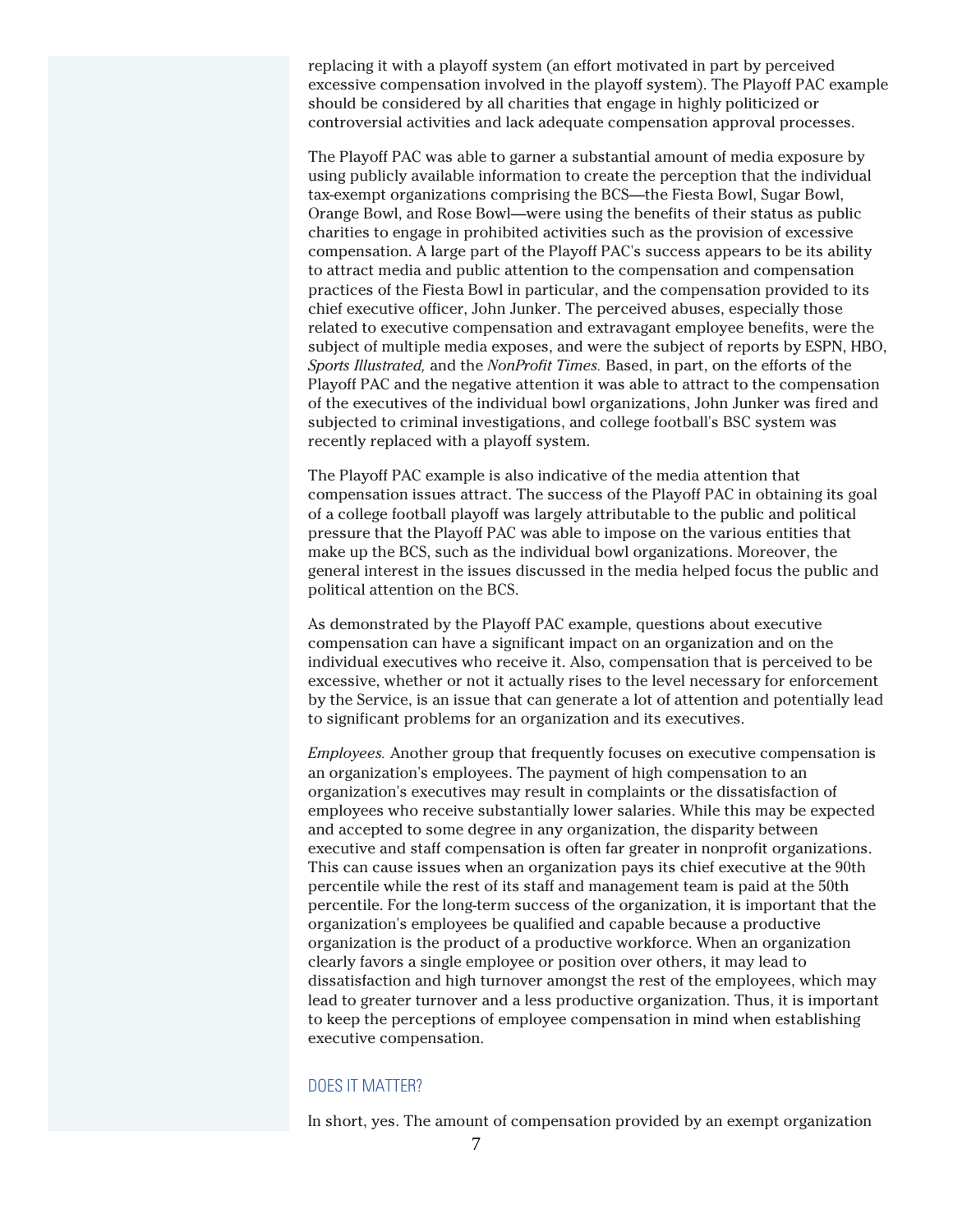replacing it with a playoff system (an effort motivated in part by perceived excessive compensation involved in the playoff system). The Playoff PAC example should be considered by all charities that engage in highly politicized or controversial activities and lack adequate compensation approval processes.

The Playoff PAC was able to garner a substantial amount of media exposure by using publicly available information to create the perception that the individual tax-exempt organizations comprising the BCS—the Fiesta Bowl, Sugar Bowl, Orange Bowl, and Rose Bowl—were using the benefits of their status as public charities to engage in prohibited activities such as the provision of excessive compensation. A large part of the Playoff PAC's success appears to be its ability to attract media and public attention to the compensation and compensation practices of the Fiesta Bowl in particular, and the compensation provided to its chief executive officer, John Junker. The perceived abuses, especially those related to executive compensation and extravagant employee benefits, were the subject of multiple media exposes, and were the subject of reports by ESPN, HBO, *Sports Illustrated,* and the *NonProfit Times.* Based, in part, on the efforts of the Playoff PAC and the negative attention it was able to attract to the compensation of the executives of the individual bowl organizations, John Junker was fired and subjected to criminal investigations, and college football's BSC system was recently replaced with a playoff system.

The Playoff PAC example is also indicative of the media attention that compensation issues attract. The success of the Playoff PAC in obtaining its goal of a college football playoff was largely attributable to the public and political pressure that the Playoff PAC was able to impose on the various entities that make up the BCS, such as the individual bowl organizations. Moreover, the general interest in the issues discussed in the media helped focus the public and political attention on the BCS.

As demonstrated by the Playoff PAC example, questions about executive compensation can have a significant impact on an organization and on the individual executives who receive it. Also, compensation that is perceived to be excessive, whether or not it actually rises to the level necessary for enforcement by the Service, is an issue that can generate a lot of attention and potentially lead to significant problems for an organization and its executives.

*Employees.* Another group that frequently focuses on executive compensation is an organization's employees. The payment of high compensation to an organization's executives may result in complaints or the dissatisfaction of employees who receive substantially lower salaries. While this may be expected and accepted to some degree in any organization, the disparity between executive and staff compensation is often far greater in nonprofit organizations. This can cause issues when an organization pays its chief executive at the 90th percentile while the rest of its staff and management team is paid at the 50th percentile. For the long-term success of the organization, it is important that the organization's employees be qualified and capable because a productive organization is the product of a productive workforce. When an organization clearly favors a single employee or position over others, it may lead to dissatisfaction and high turnover amongst the rest of the employees, which may lead to greater turnover and a less productive organization. Thus, it is important to keep the perceptions of employee compensation in mind when establishing executive compensation.

#### DOES IT MATTER?

In short, yes. The amount of compensation provided by an exempt organization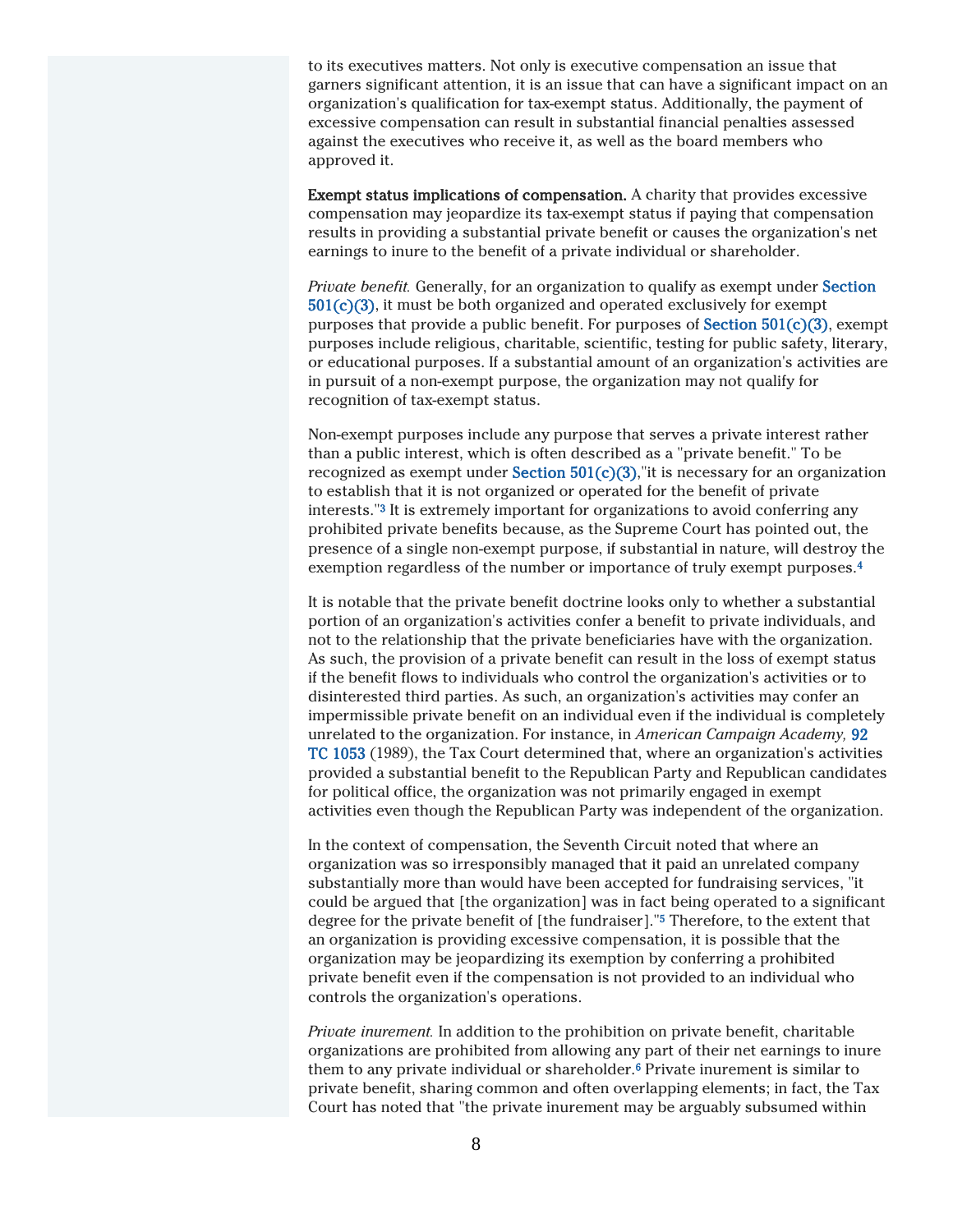to its executives matters. Not only is executive compensation an issue that garners significant attention, it is an issue that can have a significant impact on an organization's qualification for tax-exempt status. Additionally, the payment of excessive compensation can result in substantial financial penalties assessed against the executives who receive it, as well as the board members who approved it.

Exempt status implications of compensation. A charity that provides excessive compensation may jeopardize its tax-exempt status if paying that compensation results in providing a substantial private benefit or causes the organization's net earnings to inure to the benefit of a private individual or shareholder.

*Private benefit.* Generally, for an organization to qualify as exempt under Section 501(c)(3), it must be both organized and operated exclusively for exempt purposes that provide a public benefit. For purposes of Section 501(c)(3), exempt purposes include religious, charitable, scientific, testing for public safety, literary, or educational purposes. If a substantial amount of an organization's activities are in pursuit of a non-exempt purpose, the organization may not qualify for recognition of tax-exempt status.

Non-exempt purposes include any purpose that serves a private interest rather than a public interest, which is often described as a "private benefit." To be recognized as exempt under Section  $501(c)(3)$ , it is necessary for an organization to establish that it is not organized or operated for the benefit of private interests."<sup>3</sup> It is extremely important for organizations to avoid conferring any prohibited private benefits because, as the Supreme Court has pointed out, the presence of a single non-exempt purpose, if substantial in nature, will destroy the exemption regardless of the number or importance of truly exempt purposes.<sup>4</sup>

It is notable that the private benefit doctrine looks only to whether a substantial portion of an organization's activities confer a benefit to private individuals, and not to the relationship that the private beneficiaries have with the organization. As such, the provision of a private benefit can result in the loss of exempt status if the benefit flows to individuals who control the organization's activities or to disinterested third parties. As such, an organization's activities may confer an impermissible private benefit on an individual even if the individual is completely unrelated to the organization. For instance, in *American Campaign Academy,* 92 TC 1053 (1989), the Tax Court determined that, where an organization's activities provided a substantial benefit to the Republican Party and Republican candidates for political office, the organization was not primarily engaged in exempt activities even though the Republican Party was independent of the organization.

In the context of compensation, the Seventh Circuit noted that where an organization was so irresponsibly managed that it paid an unrelated company substantially more than would have been accepted for fundraising services, "it could be argued that [the organization] was in fact being operated to a significant degree for the private benefit of [the fundraiser]."<sup>5</sup> Therefore, to the extent that an organization is providing excessive compensation, it is possible that the organization may be jeopardizing its exemption by conferring a prohibited private benefit even if the compensation is not provided to an individual who controls the organization's operations.

*Private inurement.* In addition to the prohibition on private benefit, charitable organizations are prohibited from allowing any part of their net earnings to inure them to any private individual or shareholder.<sup>6</sup> Private inurement is similar to private benefit, sharing common and often overlapping elements; in fact, the Tax Court has noted that "the private inurement may be arguably subsumed within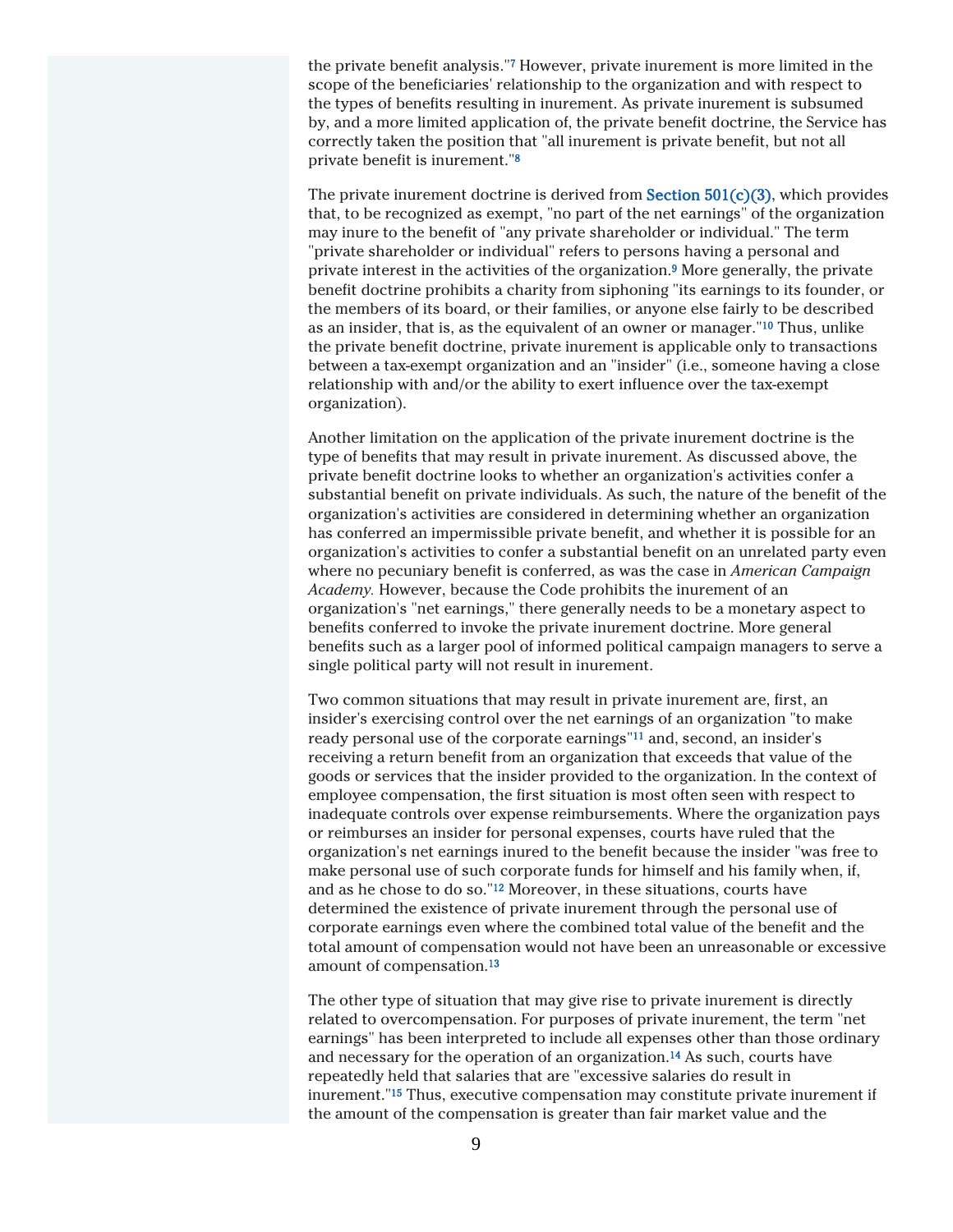the private benefit analysis."<sup>7</sup> However, private inurement is more limited in the scope of the beneficiaries' relationship to the organization and with respect to the types of benefits resulting in inurement. As private inurement is subsumed by, and a more limited application of, the private benefit doctrine, the Service has correctly taken the position that "all inurement is private benefit, but not all private benefit is inurement."<sup>8</sup>

The private inurement doctrine is derived from **Section 501(c)(3)**, which provides that, to be recognized as exempt, "no part of the net earnings" of the organization may inure to the benefit of "any private shareholder or individual." The term "private shareholder or individual" refers to persons having a personal and private interest in the activities of the organization.<sup>9</sup> More generally, the private benefit doctrine prohibits a charity from siphoning "its earnings to its founder, or the members of its board, or their families, or anyone else fairly to be described as an insider, that is, as the equivalent of an owner or manager."<sup>10</sup> Thus, unlike the private benefit doctrine, private inurement is applicable only to transactions between a tax-exempt organization and an "insider" (i.e., someone having a close relationship with and/or the ability to exert influence over the tax-exempt organization).

Another limitation on the application of the private inurement doctrine is the type of benefits that may result in private inurement. As discussed above, the private benefit doctrine looks to whether an organization's activities confer a substantial benefit on private individuals. As such, the nature of the benefit of the organization's activities are considered in determining whether an organization has conferred an impermissible private benefit, and whether it is possible for an organization's activities to confer a substantial benefit on an unrelated party even where no pecuniary benefit is conferred, as was the case in *American Campaign Academy.* However, because the Code prohibits the inurement of an organization's "net earnings," there generally needs to be a monetary aspect to benefits conferred to invoke the private inurement doctrine. More general benefits such as a larger pool of informed political campaign managers to serve a single political party will not result in inurement.

Two common situations that may result in private inurement are, first, an insider's exercising control over the net earnings of an organization "to make ready personal use of the corporate earnings"<sup>11</sup> and, second, an insider's receiving a return benefit from an organization that exceeds that value of the goods or services that the insider provided to the organization. In the context of employee compensation, the first situation is most often seen with respect to inadequate controls over expense reimbursements. Where the organization pays or reimburses an insider for personal expenses, courts have ruled that the organization's net earnings inured to the benefit because the insider "was free to make personal use of such corporate funds for himself and his family when, if, and as he chose to do so."<sup>12</sup> Moreover, in these situations, courts have determined the existence of private inurement through the personal use of corporate earnings even where the combined total value of the benefit and the total amount of compensation would not have been an unreasonable or excessive amount of compensation.<sup>13</sup>

The other type of situation that may give rise to private inurement is directly related to overcompensation. For purposes of private inurement, the term "net earnings" has been interpreted to include all expenses other than those ordinary and necessary for the operation of an organization.<sup>14</sup> As such, courts have repeatedly held that salaries that are "excessive salaries do result in inurement."<sup>15</sup> Thus, executive compensation may constitute private inurement if the amount of the compensation is greater than fair market value and the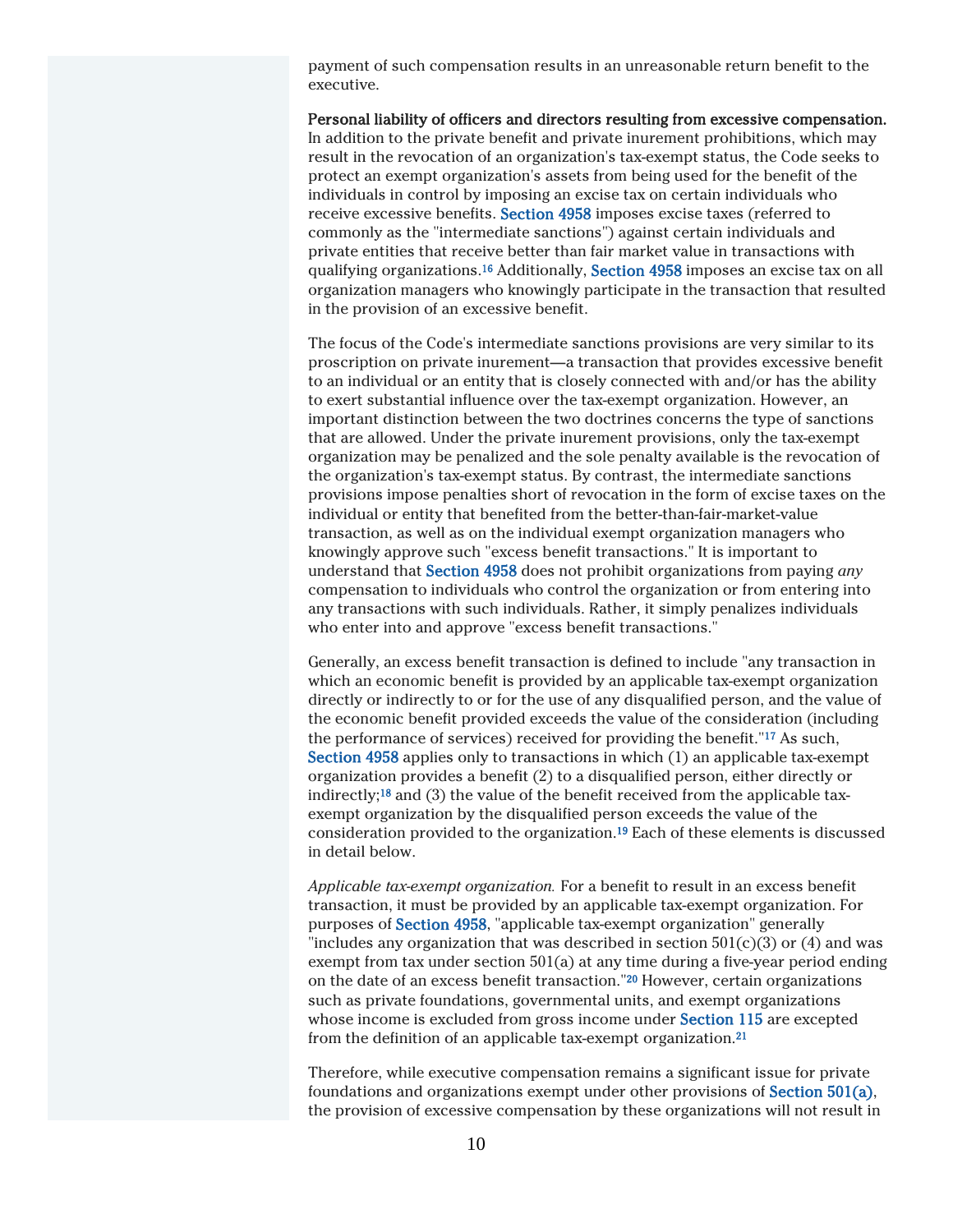payment of such compensation results in an unreasonable return benefit to the executive.

Personal liability of officers and directors resulting from excessive compensation. In addition to the private benefit and private inurement prohibitions, which may result in the revocation of an organization's tax-exempt status, the Code seeks to protect an exempt organization's assets from being used for the benefit of the individuals in control by imposing an excise tax on certain individuals who receive excessive benefits. Section 4958 imposes excise taxes (referred to commonly as the "intermediate sanctions") against certain individuals and private entities that receive better than fair market value in transactions with qualifying organizations.<sup>16</sup> Additionally, Section 4958 imposes an excise tax on all organization managers who knowingly participate in the transaction that resulted in the provision of an excessive benefit.

The focus of the Code's intermediate sanctions provisions are very similar to its proscription on private inurement—a transaction that provides excessive benefit to an individual or an entity that is closely connected with and/or has the ability to exert substantial influence over the tax-exempt organization. However, an important distinction between the two doctrines concerns the type of sanctions that are allowed. Under the private inurement provisions, only the tax-exempt organization may be penalized and the sole penalty available is the revocation of the organization's tax-exempt status. By contrast, the intermediate sanctions provisions impose penalties short of revocation in the form of excise taxes on the individual or entity that benefited from the better-than-fair-market-value transaction, as well as on the individual exempt organization managers who knowingly approve such "excess benefit transactions." It is important to understand that Section 4958 does not prohibit organizations from paying *any* compensation to individuals who control the organization or from entering into any transactions with such individuals. Rather, it simply penalizes individuals who enter into and approve "excess benefit transactions."

Generally, an excess benefit transaction is defined to include "any transaction in which an economic benefit is provided by an applicable tax-exempt organization directly or indirectly to or for the use of any disqualified person, and the value of the economic benefit provided exceeds the value of the consideration (including the performance of services) received for providing the benefit."<sup>17</sup> As such, Section 4958 applies only to transactions in which (1) an applicable tax-exempt organization provides a benefit (2) to a disqualified person, either directly or indirectly;<sup>18</sup> and (3) the value of the benefit received from the applicable taxexempt organization by the disqualified person exceeds the value of the consideration provided to the organization.<sup>19</sup> Each of these elements is discussed in detail below.

*Applicable tax-exempt organization.* For a benefit to result in an excess benefit transaction, it must be provided by an applicable tax-exempt organization. For purposes of Section 4958, "applicable tax-exempt organization" generally "includes any organization that was described in section  $501(c)(3)$  or (4) and was exempt from tax under section 501(a) at any time during a five-year period ending on the date of an excess benefit transaction."<sup>20</sup> However, certain organizations such as private foundations, governmental units, and exempt organizations whose income is excluded from gross income under Section 115 are excepted from the definition of an applicable tax-exempt organization.<sup>21</sup>

Therefore, while executive compensation remains a significant issue for private foundations and organizations exempt under other provisions of Section 501(a), the provision of excessive compensation by these organizations will not result in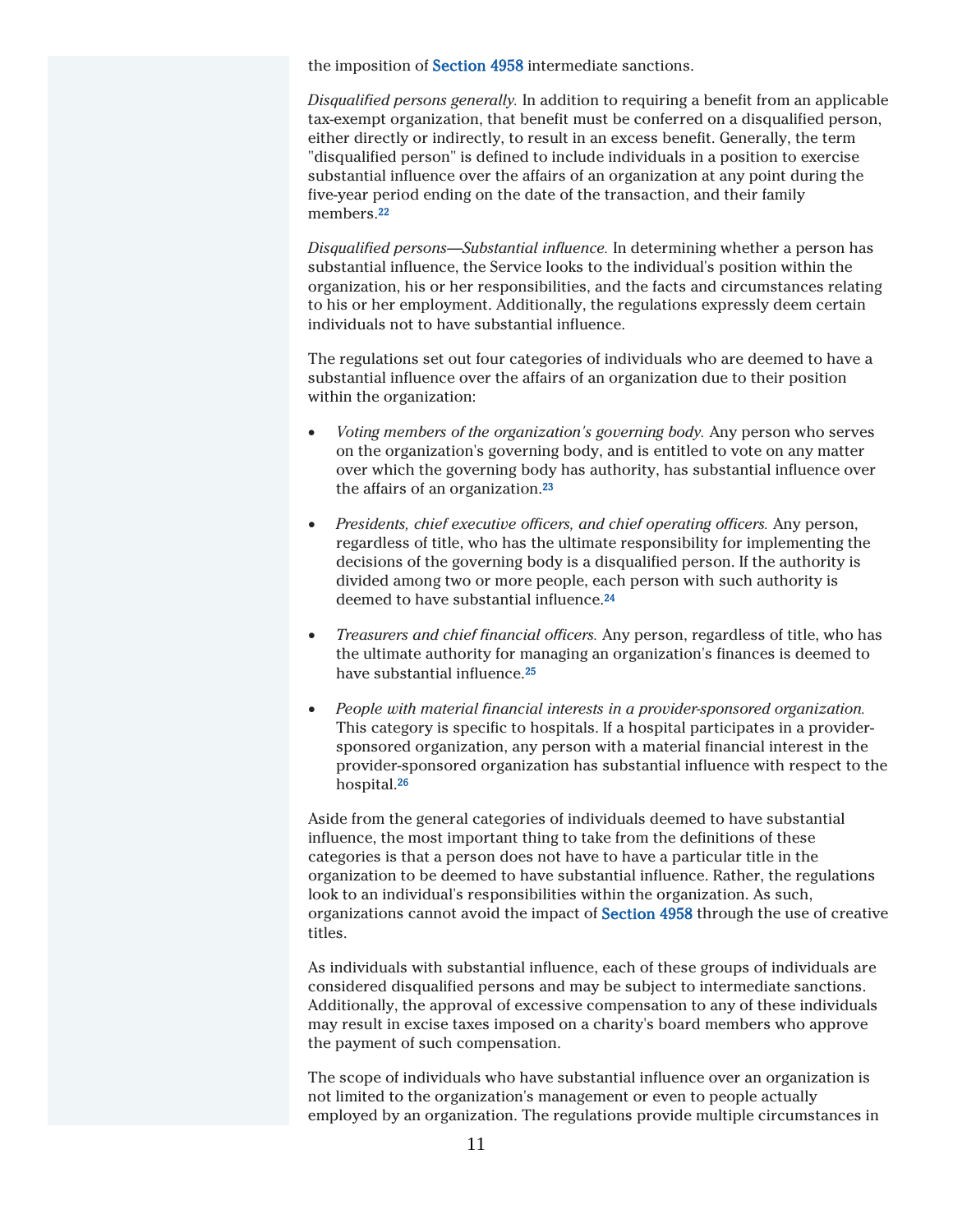the imposition of **Section 4958** intermediate sanctions.

*Disqualified persons generally.* In addition to requiring a benefit from an applicable tax-exempt organization, that benefit must be conferred on a disqualified person, either directly or indirectly, to result in an excess benefit. Generally, the term "disqualified person" is defined to include individuals in a position to exercise substantial influence over the affairs of an organization at any point during the five-year period ending on the date of the transaction, and their family members.<sup>22</sup>

*Disqualified persons—Substantial influence.* In determining whether a person has substantial influence, the Service looks to the individual's position within the organization, his or her responsibilities, and the facts and circumstances relating to his or her employment. Additionally, the regulations expressly deem certain individuals not to have substantial influence.

The regulations set out four categories of individuals who are deemed to have a substantial influence over the affairs of an organization due to their position within the organization:

- *Voting members of the organization's governing body.* Any person who serves on the organization's governing body, and is entitled to vote on any matter over which the governing body has authority, has substantial influence over the affairs of an organization.<sup>23</sup>
- *Presidents, chief executive officers, and chief operating officers.* Any person, regardless of title, who has the ultimate responsibility for implementing the decisions of the governing body is a disqualified person. If the authority is divided among two or more people, each person with such authority is deemed to have substantial influence.<sup>24</sup>
- *Treasurers and chief financial officers.* Any person, regardless of title, who has the ultimate authority for managing an organization's finances is deemed to have substantial influence.<sup>25</sup>
- *People with material financial interests in a provider-sponsored organization.* This category is specific to hospitals. If a hospital participates in a providersponsored organization, any person with a material financial interest in the provider-sponsored organization has substantial influence with respect to the hospital.<sup>26</sup>

Aside from the general categories of individuals deemed to have substantial influence, the most important thing to take from the definitions of these categories is that a person does not have to have a particular title in the organization to be deemed to have substantial influence. Rather, the regulations look to an individual's responsibilities within the organization. As such, organizations cannot avoid the impact of Section 4958 through the use of creative titles.

As individuals with substantial influence, each of these groups of individuals are considered disqualified persons and may be subject to intermediate sanctions. Additionally, the approval of excessive compensation to any of these individuals may result in excise taxes imposed on a charity's board members who approve the payment of such compensation.

The scope of individuals who have substantial influence over an organization is not limited to the organization's management or even to people actually employed by an organization. The regulations provide multiple circumstances in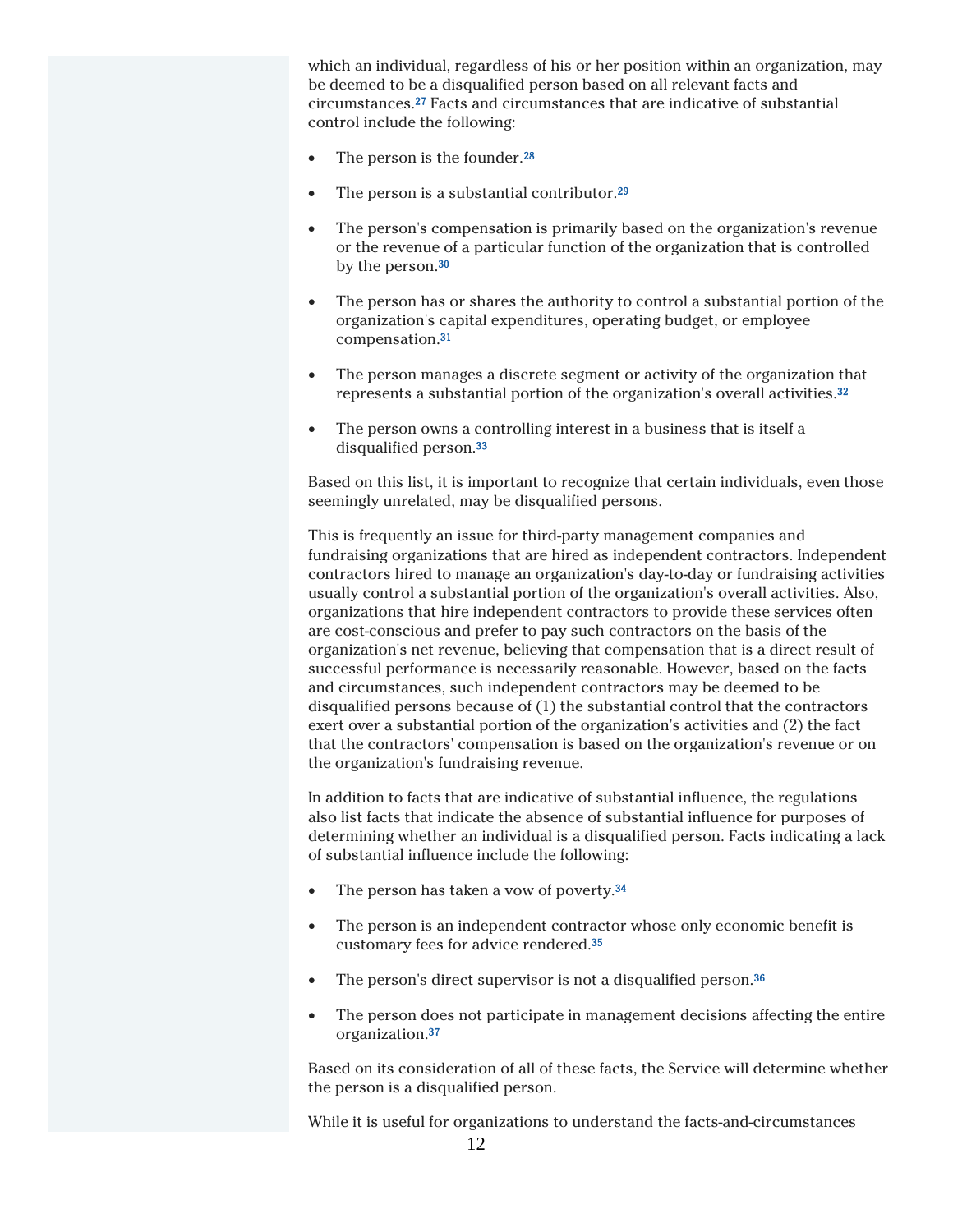which an individual, regardless of his or her position within an organization, may be deemed to be a disqualified person based on all relevant facts and circumstances.<sup>27</sup> Facts and circumstances that are indicative of substantial control include the following:

- The person is the founder.<sup>28</sup>
- The person is a substantial contributor.<sup>29</sup>
- The person's compensation is primarily based on the organization's revenue or the revenue of a particular function of the organization that is controlled by the person.<sup>30</sup>
- The person has or shares the authority to control a substantial portion of the organization's capital expenditures, operating budget, or employee compensation.<sup>31</sup>
- The person manages a discrete segment or activity of the organization that represents a substantial portion of the organization's overall activities.<sup>32</sup>
- The person owns a controlling interest in a business that is itself a disqualified person.<sup>33</sup>

Based on this list, it is important to recognize that certain individuals, even those seemingly unrelated, may be disqualified persons.

This is frequently an issue for third-party management companies and fundraising organizations that are hired as independent contractors. Independent contractors hired to manage an organization's day-to-day or fundraising activities usually control a substantial portion of the organization's overall activities. Also, organizations that hire independent contractors to provide these services often are cost-conscious and prefer to pay such contractors on the basis of the organization's net revenue, believing that compensation that is a direct result of successful performance is necessarily reasonable. However, based on the facts and circumstances, such independent contractors may be deemed to be disqualified persons because of (1) the substantial control that the contractors exert over a substantial portion of the organization's activities and (2) the fact that the contractors' compensation is based on the organization's revenue or on the organization's fundraising revenue.

In addition to facts that are indicative of substantial influence, the regulations also list facts that indicate the absence of substantial influence for purposes of determining whether an individual is a disqualified person. Facts indicating a lack of substantial influence include the following:

- The person has taken a vow of poverty.<sup>34</sup>
- The person is an independent contractor whose only economic benefit is customary fees for advice rendered.<sup>35</sup>
- $\bullet$  The person's direct supervisor is not a disqualified person.<sup>36</sup>
- The person does not participate in management decisions affecting the entire organization.<sup>37</sup>

Based on its consideration of all of these facts, the Service will determine whether the person is a disqualified person.

While it is useful for organizations to understand the facts-and-circumstances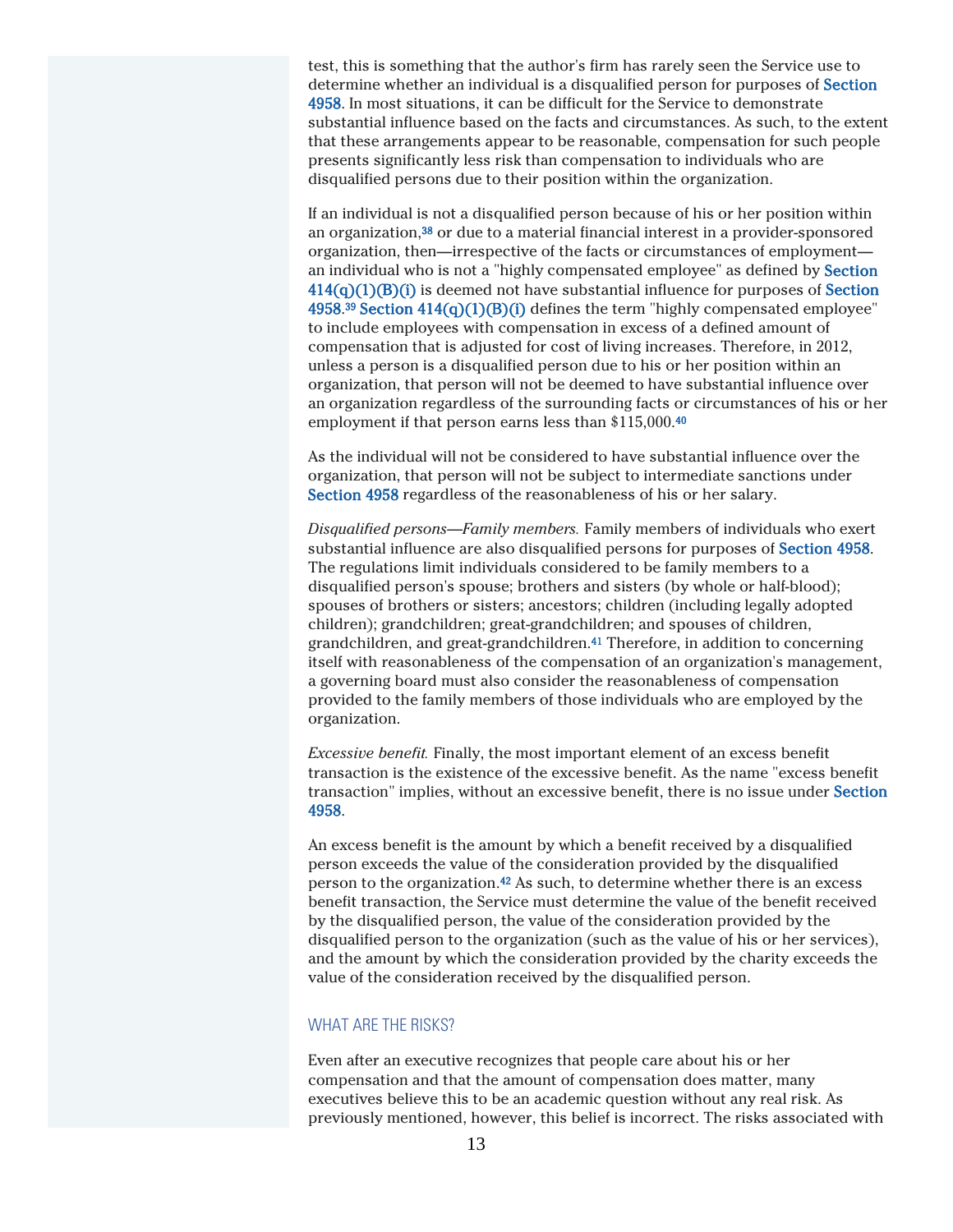test, this is something that the author's firm has rarely seen the Service use to determine whether an individual is a disqualified person for purposes of Section 4958. In most situations, it can be difficult for the Service to demonstrate substantial influence based on the facts and circumstances. As such, to the extent that these arrangements appear to be reasonable, compensation for such people presents significantly less risk than compensation to individuals who are disqualified persons due to their position within the organization.

If an individual is not a disqualified person because of his or her position within an organization,<sup>38</sup> or due to a material financial interest in a provider-sponsored organization, then—irrespective of the facts or circumstances of employment an individual who is not a "highly compensated employee" as defined by Section  $414(q)(1)(B)(i)$  is deemed not have substantial influence for purposes of Section  $4958.^{39}$  Section  $414(q)(1)(B)(i)$  defines the term "highly compensated employee" to include employees with compensation in excess of a defined amount of compensation that is adjusted for cost of living increases. Therefore, in 2012, unless a person is a disqualified person due to his or her position within an organization, that person will not be deemed to have substantial influence over an organization regardless of the surrounding facts or circumstances of his or her employment if that person earns less than \$115,000.<sup>40</sup>

As the individual will not be considered to have substantial influence over the organization, that person will not be subject to intermediate sanctions under Section 4958 regardless of the reasonableness of his or her salary.

*Disqualified persons—Family members.* Family members of individuals who exert substantial influence are also disqualified persons for purposes of Section 4958. The regulations limit individuals considered to be family members to a disqualified person's spouse; brothers and sisters (by whole or half-blood); spouses of brothers or sisters; ancestors; children (including legally adopted children); grandchildren; great-grandchildren; and spouses of children, grandchildren, and great-grandchildren.<sup>41</sup> Therefore, in addition to concerning itself with reasonableness of the compensation of an organization's management, a governing board must also consider the reasonableness of compensation provided to the family members of those individuals who are employed by the organization.

*Excessive benefit.* Finally, the most important element of an excess benefit transaction is the existence of the excessive benefit. As the name "excess benefit transaction" implies, without an excessive benefit, there is no issue under Section 4958.

An excess benefit is the amount by which a benefit received by a disqualified person exceeds the value of the consideration provided by the disqualified person to the organization.<sup>42</sup> As such, to determine whether there is an excess benefit transaction, the Service must determine the value of the benefit received by the disqualified person, the value of the consideration provided by the disqualified person to the organization (such as the value of his or her services), and the amount by which the consideration provided by the charity exceeds the value of the consideration received by the disqualified person.

#### WHAT ARE THE RISKS?

Even after an executive recognizes that people care about his or her compensation and that the amount of compensation does matter, many executives believe this to be an academic question without any real risk. As previously mentioned, however, this belief is incorrect. The risks associated with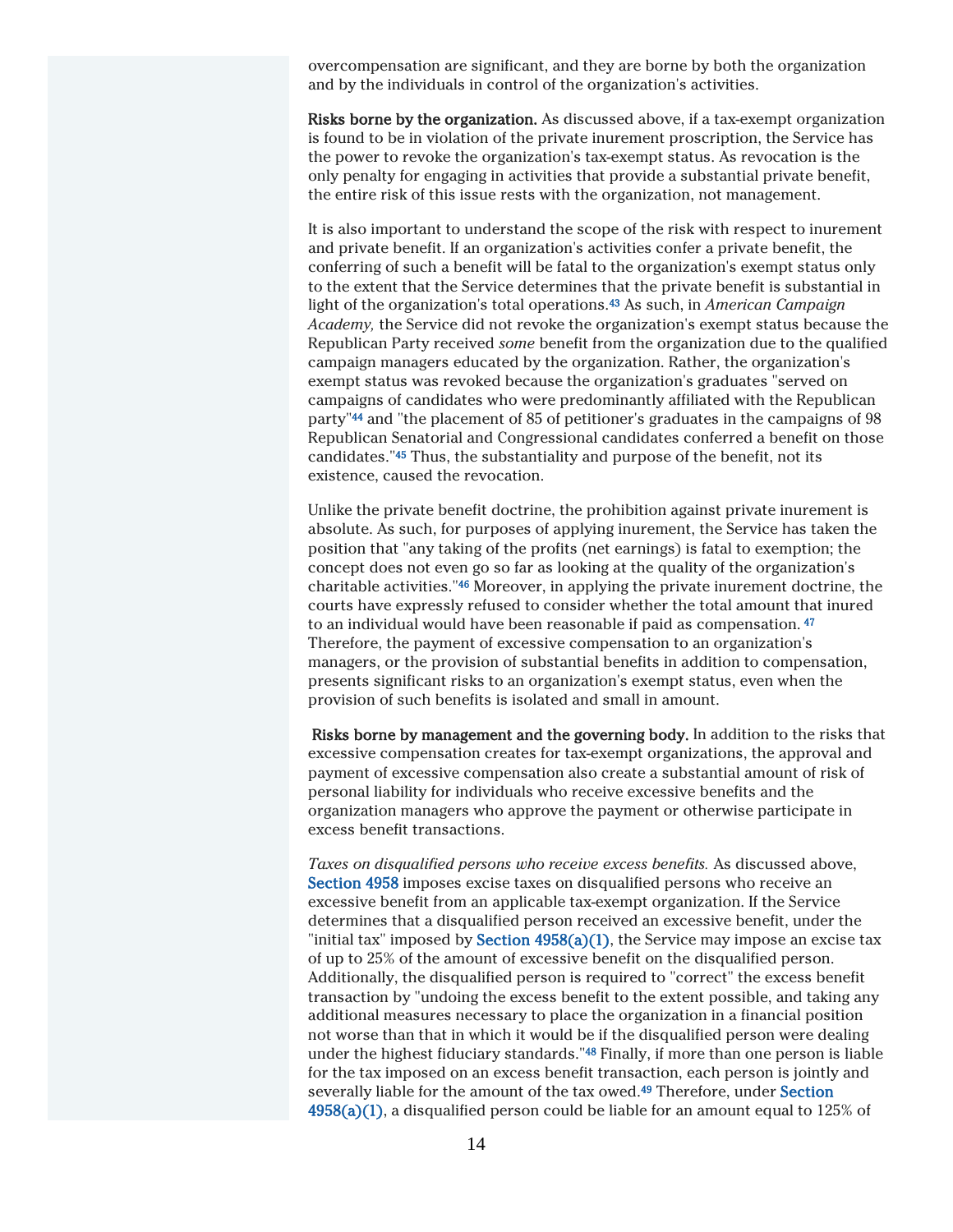overcompensation are significant, and they are borne by both the organization and by the individuals in control of the organization's activities.

Risks borne by the organization. As discussed above, if a tax-exempt organization is found to be in violation of the private inurement proscription, the Service has the power to revoke the organization's tax-exempt status. As revocation is the only penalty for engaging in activities that provide a substantial private benefit, the entire risk of this issue rests with the organization, not management.

It is also important to understand the scope of the risk with respect to inurement and private benefit. If an organization's activities confer a private benefit, the conferring of such a benefit will be fatal to the organization's exempt status only to the extent that the Service determines that the private benefit is substantial in light of the organization's total operations.<sup>43</sup> As such, in *American Campaign Academy,* the Service did not revoke the organization's exempt status because the Republican Party received *some* benefit from the organization due to the qualified campaign managers educated by the organization. Rather, the organization's exempt status was revoked because the organization's graduates "served on campaigns of candidates who were predominantly affiliated with the Republican party"<sup>44</sup> and "the placement of 85 of petitioner's graduates in the campaigns of 98 Republican Senatorial and Congressional candidates conferred a benefit on those candidates."<sup>45</sup> Thus, the substantiality and purpose of the benefit, not its existence, caused the revocation.

Unlike the private benefit doctrine, the prohibition against private inurement is absolute. As such, for purposes of applying inurement, the Service has taken the position that "any taking of the profits (net earnings) is fatal to exemption; the concept does not even go so far as looking at the quality of the organization's charitable activities."<sup>46</sup> Moreover, in applying the private inurement doctrine, the courts have expressly refused to consider whether the total amount that inured to an individual would have been reasonable if paid as compensation. 47 Therefore, the payment of excessive compensation to an organization's managers, or the provision of substantial benefits in addition to compensation, presents significant risks to an organization's exempt status, even when the provision of such benefits is isolated and small in amount.

Risks borne by management and the governing body. In addition to the risks that excessive compensation creates for tax-exempt organizations, the approval and payment of excessive compensation also create a substantial amount of risk of personal liability for individuals who receive excessive benefits and the organization managers who approve the payment or otherwise participate in excess benefit transactions.

*Taxes on disqualified persons who receive excess benefits.* As discussed above, Section 4958 imposes excise taxes on disqualified persons who receive an excessive benefit from an applicable tax-exempt organization. If the Service determines that a disqualified person received an excessive benefit, under the "initial tax" imposed by **Section 4958(a)(1)**, the Service may impose an excise tax of up to 25% of the amount of excessive benefit on the disqualified person. Additionally, the disqualified person is required to "correct" the excess benefit transaction by "undoing the excess benefit to the extent possible, and taking any additional measures necessary to place the organization in a financial position not worse than that in which it would be if the disqualified person were dealing under the highest fiduciary standards."<sup>48</sup> Finally, if more than one person is liable for the tax imposed on an excess benefit transaction, each person is jointly and severally liable for the amount of the tax owed.<sup>49</sup> Therefore, under Section  $4958(a)(1)$ , a disqualified person could be liable for an amount equal to 125% of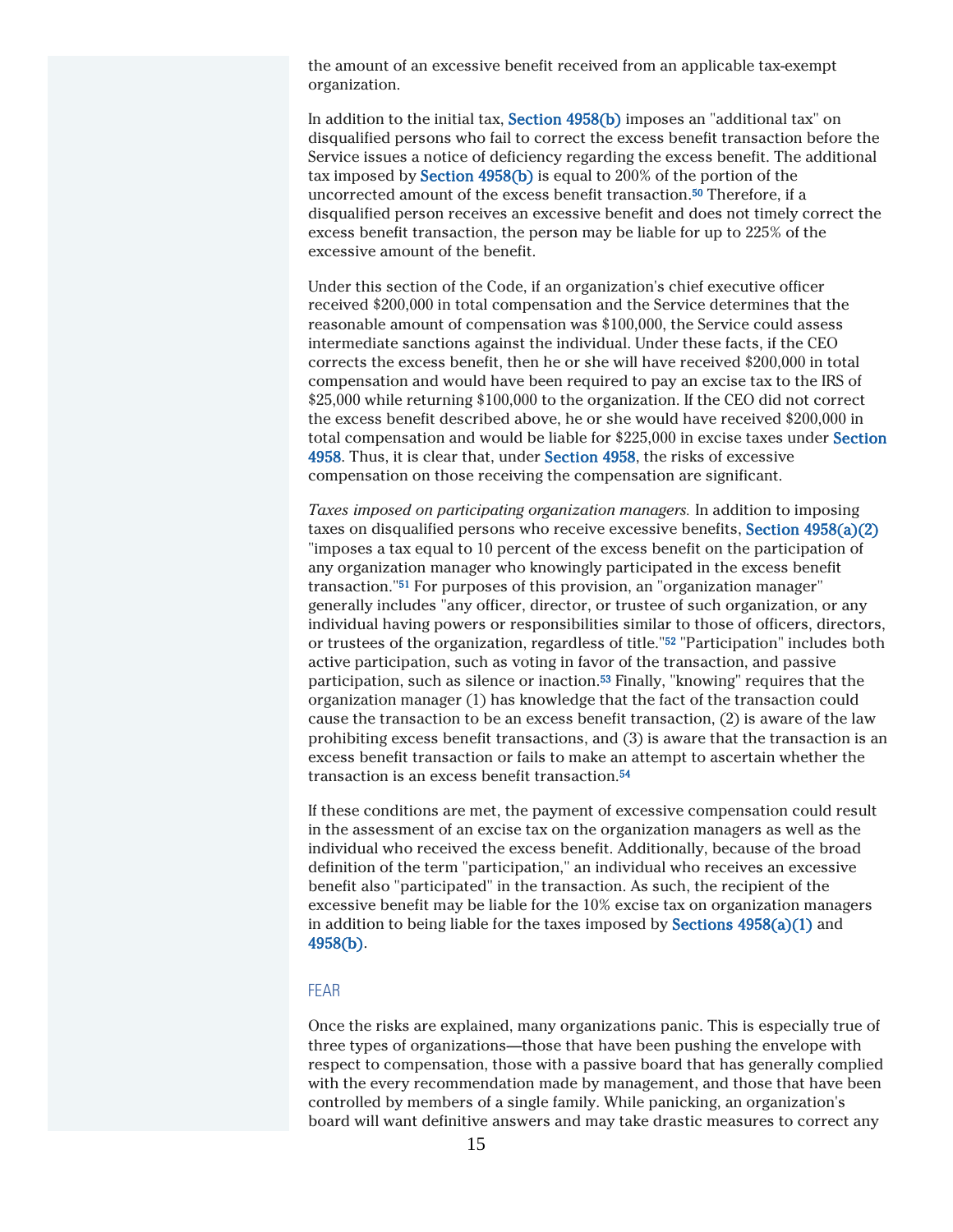the amount of an excessive benefit received from an applicable tax-exempt organization.

In addition to the initial tax, Section 4958(b) imposes an "additional tax" on disqualified persons who fail to correct the excess benefit transaction before the Service issues a notice of deficiency regarding the excess benefit. The additional tax imposed by Section 4958(b) is equal to 200% of the portion of the uncorrected amount of the excess benefit transaction.<sup>50</sup> Therefore, if a disqualified person receives an excessive benefit and does not timely correct the excess benefit transaction, the person may be liable for up to 225% of the excessive amount of the benefit.

Under this section of the Code, if an organization's chief executive officer received \$200,000 in total compensation and the Service determines that the reasonable amount of compensation was \$100,000, the Service could assess intermediate sanctions against the individual. Under these facts, if the CEO corrects the excess benefit, then he or she will have received \$200,000 in total compensation and would have been required to pay an excise tax to the IRS of \$25,000 while returning \$100,000 to the organization. If the CEO did not correct the excess benefit described above, he or she would have received \$200,000 in total compensation and would be liable for \$225,000 in excise taxes under Section 4958. Thus, it is clear that, under Section 4958, the risks of excessive compensation on those receiving the compensation are significant.

*Taxes imposed on participating organization managers.* In addition to imposing taxes on disqualified persons who receive excessive benefits, Section 4958(a)(2) "imposes a tax equal to 10 percent of the excess benefit on the participation of any organization manager who knowingly participated in the excess benefit transaction."<sup>51</sup> For purposes of this provision, an "organization manager" generally includes "any officer, director, or trustee of such organization, or any individual having powers or responsibilities similar to those of officers, directors, or trustees of the organization, regardless of title."<sup>52</sup> "Participation" includes both active participation, such as voting in favor of the transaction, and passive participation, such as silence or inaction.<sup>53</sup> Finally, "knowing" requires that the organization manager (1) has knowledge that the fact of the transaction could cause the transaction to be an excess benefit transaction, (2) is aware of the law prohibiting excess benefit transactions, and (3) is aware that the transaction is an excess benefit transaction or fails to make an attempt to ascertain whether the transaction is an excess benefit transaction.<sup>54</sup>

If these conditions are met, the payment of excessive compensation could result in the assessment of an excise tax on the organization managers as well as the individual who received the excess benefit. Additionally, because of the broad definition of the term "participation," an individual who receives an excessive benefit also "participated" in the transaction. As such, the recipient of the excessive benefit may be liable for the 10% excise tax on organization managers in addition to being liable for the taxes imposed by **Sections**  $4958(a)(1)$  and 4958(b).

#### FEAR

Once the risks are explained, many organizations panic. This is especially true of three types of organizations—those that have been pushing the envelope with respect to compensation, those with a passive board that has generally complied with the every recommendation made by management, and those that have been controlled by members of a single family. While panicking, an organization's board will want definitive answers and may take drastic measures to correct any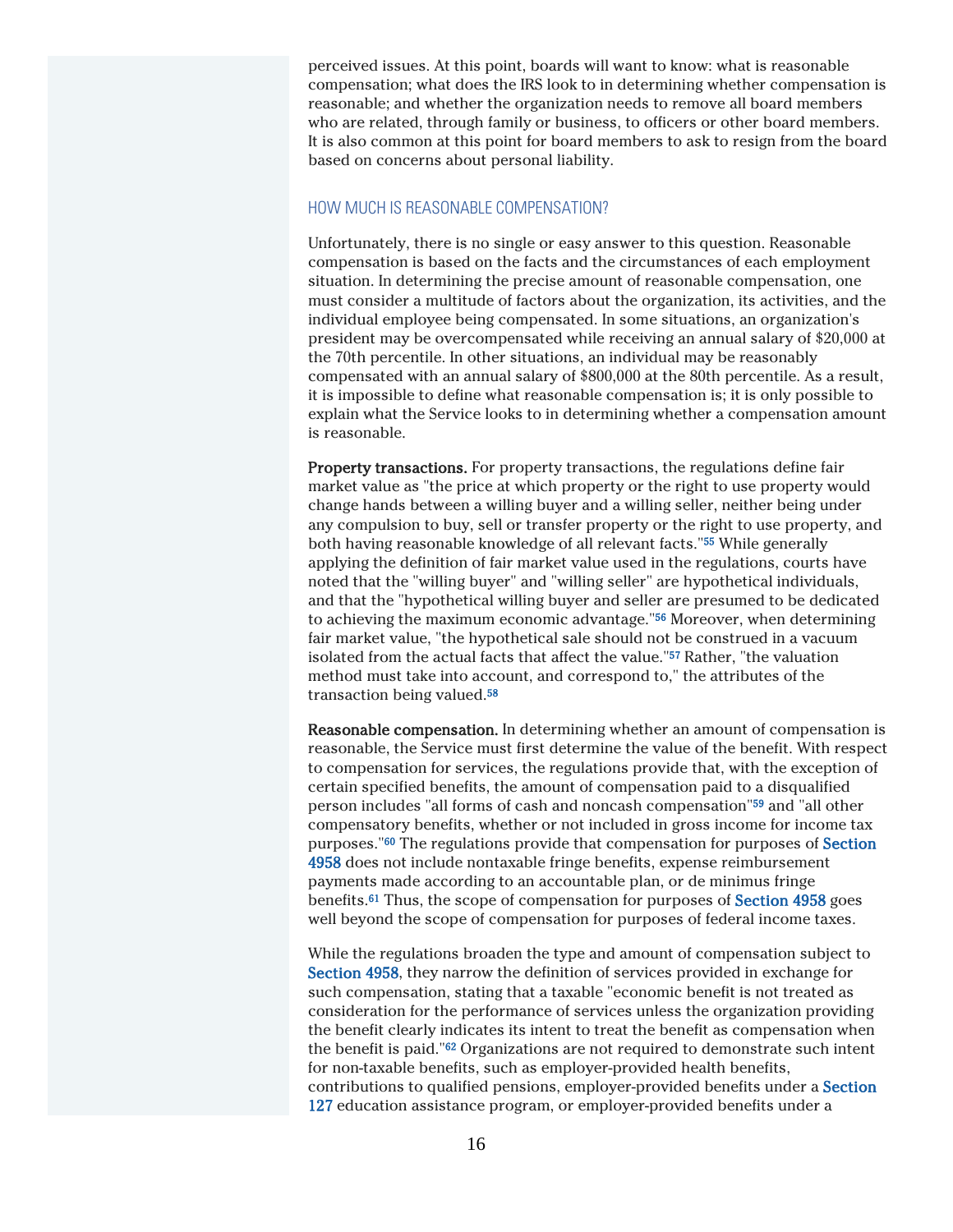perceived issues. At this point, boards will want to know: what is reasonable compensation; what does the IRS look to in determining whether compensation is reasonable; and whether the organization needs to remove all board members who are related, through family or business, to officers or other board members. It is also common at this point for board members to ask to resign from the board based on concerns about personal liability.

#### HOW MUCH IS REASONABLE COMPENSATION?

Unfortunately, there is no single or easy answer to this question. Reasonable compensation is based on the facts and the circumstances of each employment situation. In determining the precise amount of reasonable compensation, one must consider a multitude of factors about the organization, its activities, and the individual employee being compensated. In some situations, an organization's president may be overcompensated while receiving an annual salary of \$20,000 at the 70th percentile. In other situations, an individual may be reasonably compensated with an annual salary of \$800,000 at the 80th percentile. As a result, it is impossible to define what reasonable compensation is; it is only possible to explain what the Service looks to in determining whether a compensation amount is reasonable.

Property transactions. For property transactions, the regulations define fair market value as "the price at which property or the right to use property would change hands between a willing buyer and a willing seller, neither being under any compulsion to buy, sell or transfer property or the right to use property, and both having reasonable knowledge of all relevant facts."<sup>55</sup> While generally applying the definition of fair market value used in the regulations, courts have noted that the "willing buyer" and "willing seller" are hypothetical individuals, and that the "hypothetical willing buyer and seller are presumed to be dedicated to achieving the maximum economic advantage."<sup>56</sup> Moreover, when determining fair market value, "the hypothetical sale should not be construed in a vacuum isolated from the actual facts that affect the value."<sup>57</sup> Rather, "the valuation method must take into account, and correspond to," the attributes of the transaction being valued.<sup>58</sup>

Reasonable compensation. In determining whether an amount of compensation is reasonable, the Service must first determine the value of the benefit. With respect to compensation for services, the regulations provide that, with the exception of certain specified benefits, the amount of compensation paid to a disqualified person includes "all forms of cash and noncash compensation"<sup>59</sup> and "all other compensatory benefits, whether or not included in gross income for income tax purposes."<sup>60</sup> The regulations provide that compensation for purposes of Section 4958 does not include nontaxable fringe benefits, expense reimbursement payments made according to an accountable plan, or de minimus fringe benefits.<sup>61</sup> Thus, the scope of compensation for purposes of Section 4958 goes well beyond the scope of compensation for purposes of federal income taxes.

While the regulations broaden the type and amount of compensation subject to Section 4958, they narrow the definition of services provided in exchange for such compensation, stating that a taxable "economic benefit is not treated as consideration for the performance of services unless the organization providing the benefit clearly indicates its intent to treat the benefit as compensation when the benefit is paid."<sup>62</sup> Organizations are not required to demonstrate such intent for non-taxable benefits, such as employer-provided health benefits, contributions to qualified pensions, employer-provided benefits under a Section 127 education assistance program, or employer-provided benefits under a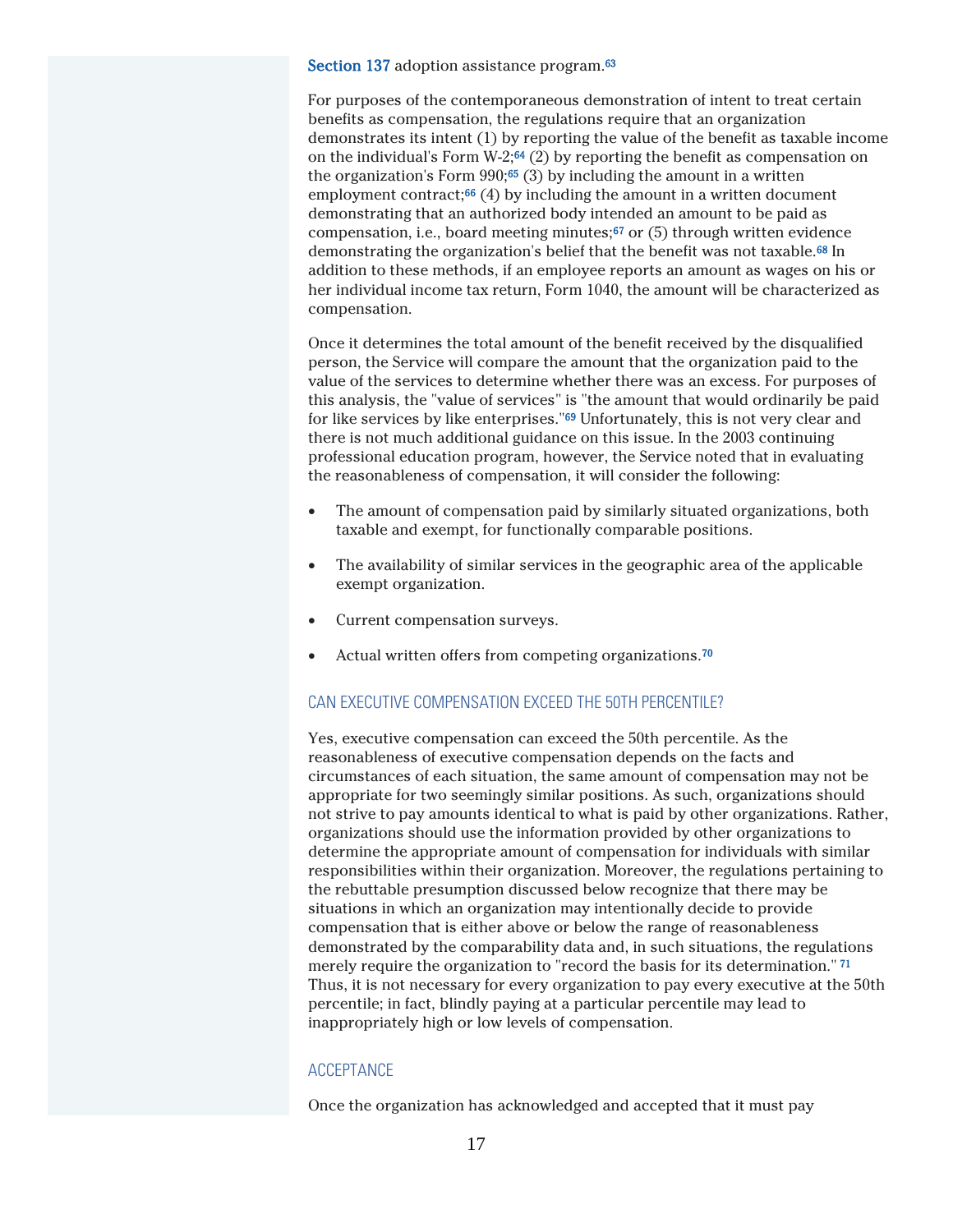Section 137 adoption assistance program.<sup>63</sup>

For purposes of the contemporaneous demonstration of intent to treat certain benefits as compensation, the regulations require that an organization demonstrates its intent (1) by reporting the value of the benefit as taxable income on the individual's Form W-2; $64$  (2) by reporting the benefit as compensation on the organization's Form  $990;^{65}$  (3) by including the amount in a written employment contract; $66$  (4) by including the amount in a written document demonstrating that an authorized body intended an amount to be paid as compensation, i.e., board meeting minutes;<sup>67</sup> or (5) through written evidence demonstrating the organization's belief that the benefit was not taxable.<sup>68</sup> In addition to these methods, if an employee reports an amount as wages on his or her individual income tax return, Form 1040, the amount will be characterized as compensation.

Once it determines the total amount of the benefit received by the disqualified person, the Service will compare the amount that the organization paid to the value of the services to determine whether there was an excess. For purposes of this analysis, the "value of services" is "the amount that would ordinarily be paid for like services by like enterprises."<sup>69</sup> Unfortunately, this is not very clear and there is not much additional guidance on this issue. In the 2003 continuing professional education program, however, the Service noted that in evaluating the reasonableness of compensation, it will consider the following:

- The amount of compensation paid by similarly situated organizations, both taxable and exempt, for functionally comparable positions.
- The availability of similar services in the geographic area of the applicable exempt organization.
- Current compensation surveys.
- Actual written offers from competing organizations.<sup>70</sup>

#### CAN EXECUTIVE COMPENSATION EXCEED THE 50TH PERCENTILE?

Yes, executive compensation can exceed the 50th percentile. As the reasonableness of executive compensation depends on the facts and circumstances of each situation, the same amount of compensation may not be appropriate for two seemingly similar positions. As such, organizations should not strive to pay amounts identical to what is paid by other organizations. Rather, organizations should use the information provided by other organizations to determine the appropriate amount of compensation for individuals with similar responsibilities within their organization. Moreover, the regulations pertaining to the rebuttable presumption discussed below recognize that there may be situations in which an organization may intentionally decide to provide compensation that is either above or below the range of reasonableness demonstrated by the comparability data and, in such situations, the regulations merely require the organization to "record the basis for its determination." <sup>71</sup> Thus, it is not necessary for every organization to pay every executive at the 50th percentile; in fact, blindly paying at a particular percentile may lead to inappropriately high or low levels of compensation.

#### **ACCEPTANCE**

Once the organization has acknowledged and accepted that it must pay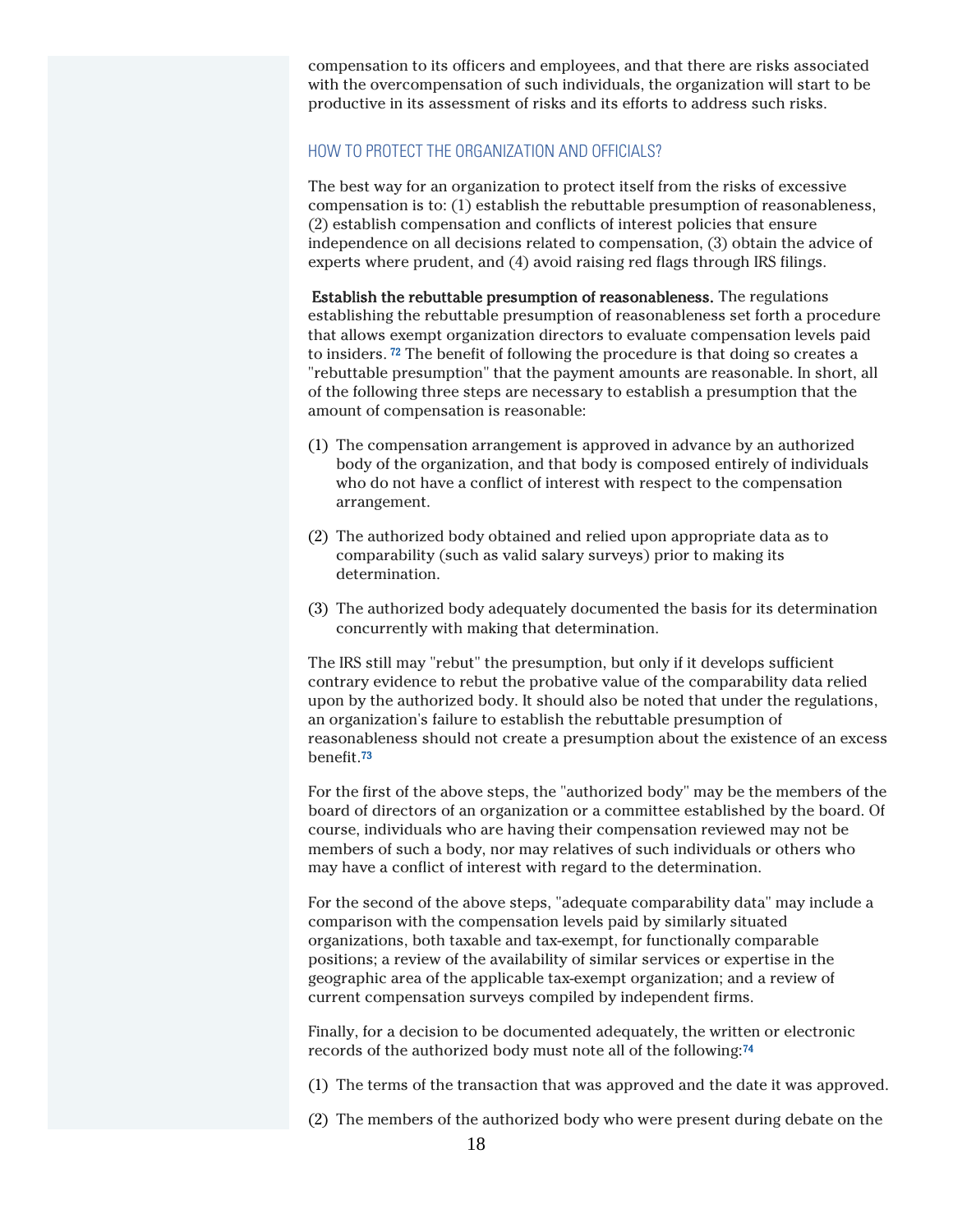compensation to its officers and employees, and that there are risks associated with the overcompensation of such individuals, the organization will start to be productive in its assessment of risks and its efforts to address such risks.

#### HOW TO PROTECT THE ORGANIZATION AND OFFICIALS?

The best way for an organization to protect itself from the risks of excessive compensation is to: (1) establish the rebuttable presumption of reasonableness, (2) establish compensation and conflicts of interest policies that ensure independence on all decisions related to compensation, (3) obtain the advice of experts where prudent, and (4) avoid raising red flags through IRS filings.

Establish the rebuttable presumption of reasonableness. The regulations establishing the rebuttable presumption of reasonableness set forth a procedure that allows exempt organization directors to evaluate compensation levels paid to insiders. <sup>72</sup> The benefit of following the procedure is that doing so creates a "rebuttable presumption" that the payment amounts are reasonable. In short, all of the following three steps are necessary to establish a presumption that the amount of compensation is reasonable:

- (1) The compensation arrangement is approved in advance by an authorized body of the organization, and that body is composed entirely of individuals who do not have a conflict of interest with respect to the compensation arrangement.
- (2) The authorized body obtained and relied upon appropriate data as to comparability (such as valid salary surveys) prior to making its determination.
- (3) The authorized body adequately documented the basis for its determination concurrently with making that determination.

The IRS still may "rebut" the presumption, but only if it develops sufficient contrary evidence to rebut the probative value of the comparability data relied upon by the authorized body. It should also be noted that under the regulations, an organization's failure to establish the rebuttable presumption of reasonableness should not create a presumption about the existence of an excess benefit.<sup>73</sup>

For the first of the above steps, the "authorized body" may be the members of the board of directors of an organization or a committee established by the board. Of course, individuals who are having their compensation reviewed may not be members of such a body, nor may relatives of such individuals or others who may have a conflict of interest with regard to the determination.

For the second of the above steps, "adequate comparability data" may include a comparison with the compensation levels paid by similarly situated organizations, both taxable and tax-exempt, for functionally comparable positions; a review of the availability of similar services or expertise in the geographic area of the applicable tax-exempt organization; and a review of current compensation surveys compiled by independent firms.

Finally, for a decision to be documented adequately, the written or electronic records of the authorized body must note all of the following:<sup>74</sup>

- (1) The terms of the transaction that was approved and the date it was approved.
- (2) The members of the authorized body who were present during debate on the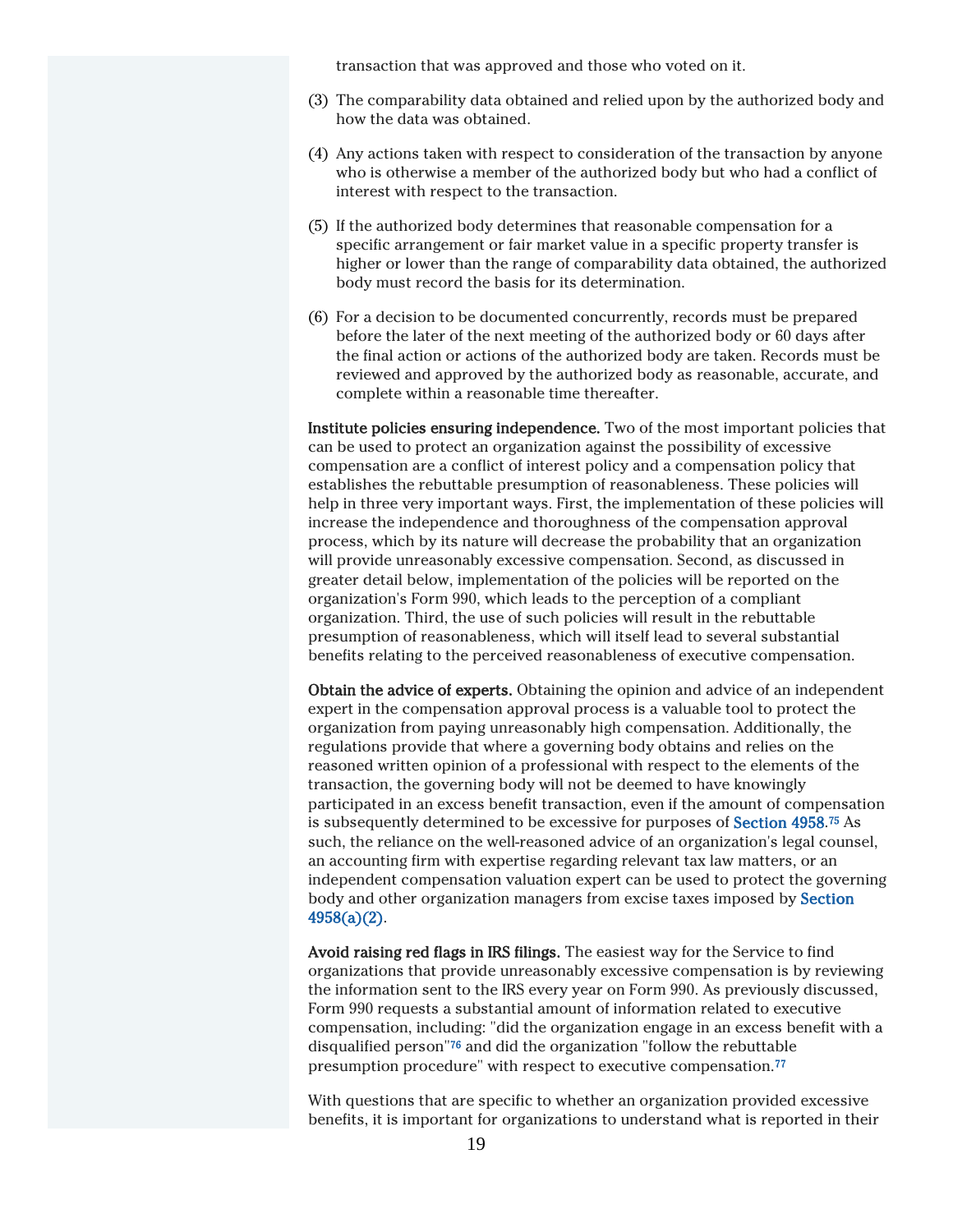transaction that was approved and those who voted on it.

- (3) The comparability data obtained and relied upon by the authorized body and how the data was obtained.
- (4) Any actions taken with respect to consideration of the transaction by anyone who is otherwise a member of the authorized body but who had a conflict of interest with respect to the transaction.
- (5) If the authorized body determines that reasonable compensation for a specific arrangement or fair market value in a specific property transfer is higher or lower than the range of comparability data obtained, the authorized body must record the basis for its determination.
- (6) For a decision to be documented concurrently, records must be prepared before the later of the next meeting of the authorized body or 60 days after the final action or actions of the authorized body are taken. Records must be reviewed and approved by the authorized body as reasonable, accurate, and complete within a reasonable time thereafter.

Institute policies ensuring independence. Two of the most important policies that can be used to protect an organization against the possibility of excessive compensation are a conflict of interest policy and a compensation policy that establishes the rebuttable presumption of reasonableness. These policies will help in three very important ways. First, the implementation of these policies will increase the independence and thoroughness of the compensation approval process, which by its nature will decrease the probability that an organization will provide unreasonably excessive compensation. Second, as discussed in greater detail below, implementation of the policies will be reported on the organization's Form 990, which leads to the perception of a compliant organization. Third, the use of such policies will result in the rebuttable presumption of reasonableness, which will itself lead to several substantial benefits relating to the perceived reasonableness of executive compensation.

Obtain the advice of experts. Obtaining the opinion and advice of an independent expert in the compensation approval process is a valuable tool to protect the organization from paying unreasonably high compensation. Additionally, the regulations provide that where a governing body obtains and relies on the reasoned written opinion of a professional with respect to the elements of the transaction, the governing body will not be deemed to have knowingly participated in an excess benefit transaction, even if the amount of compensation is subsequently determined to be excessive for purposes of **Section 4958**.<sup>75</sup> As such, the reliance on the well-reasoned advice of an organization's legal counsel, an accounting firm with expertise regarding relevant tax law matters, or an independent compensation valuation expert can be used to protect the governing body and other organization managers from excise taxes imposed by Section 4958(a)(2).

Avoid raising red flags in IRS filings. The easiest way for the Service to find organizations that provide unreasonably excessive compensation is by reviewing the information sent to the IRS every year on Form 990. As previously discussed, Form 990 requests a substantial amount of information related to executive compensation, including: "did the organization engage in an excess benefit with a disqualified person"<sup>76</sup> and did the organization "follow the rebuttable presumption procedure" with respect to executive compensation.<sup>77</sup>

With questions that are specific to whether an organization provided excessive benefits, it is important for organizations to understand what is reported in their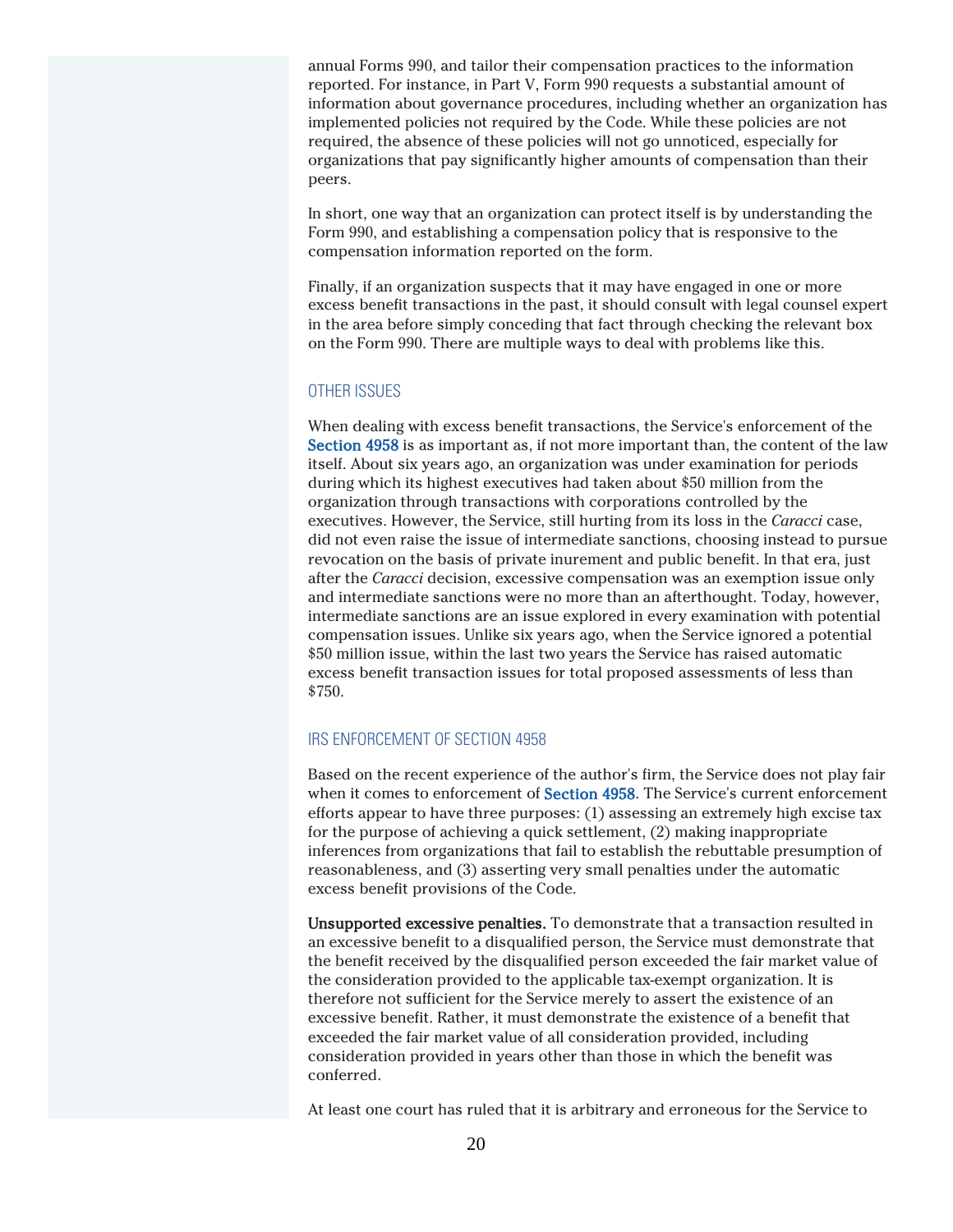annual Forms 990, and tailor their compensation practices to the information reported. For instance, in Part V, Form 990 requests a substantial amount of information about governance procedures, including whether an organization has implemented policies not required by the Code. While these policies are not required, the absence of these policies will not go unnoticed, especially for organizations that pay significantly higher amounts of compensation than their peers.

In short, one way that an organization can protect itself is by understanding the Form 990, and establishing a compensation policy that is responsive to the compensation information reported on the form.

Finally, if an organization suspects that it may have engaged in one or more excess benefit transactions in the past, it should consult with legal counsel expert in the area before simply conceding that fact through checking the relevant box on the Form 990. There are multiple ways to deal with problems like this.

#### OTHER ISSUES

When dealing with excess benefit transactions, the Service's enforcement of the Section 4958 is as important as, if not more important than, the content of the law itself. About six years ago, an organization was under examination for periods during which its highest executives had taken about \$50 million from the organization through transactions with corporations controlled by the executives. However, the Service, still hurting from its loss in the *Caracci* case, did not even raise the issue of intermediate sanctions, choosing instead to pursue revocation on the basis of private inurement and public benefit. In that era, just after the *Caracci* decision, excessive compensation was an exemption issue only and intermediate sanctions were no more than an afterthought. Today, however, intermediate sanctions are an issue explored in every examination with potential compensation issues. Unlike six years ago, when the Service ignored a potential \$50 million issue, within the last two years the Service has raised automatic excess benefit transaction issues for total proposed assessments of less than \$750.

#### IRS ENFORCEMENT OF SECTION 4958

Based on the recent experience of the author's firm, the Service does not play fair when it comes to enforcement of Section 4958. The Service's current enforcement efforts appear to have three purposes: (1) assessing an extremely high excise tax for the purpose of achieving a quick settlement, (2) making inappropriate inferences from organizations that fail to establish the rebuttable presumption of reasonableness, and (3) asserting very small penalties under the automatic excess benefit provisions of the Code.

Unsupported excessive penalties. To demonstrate that a transaction resulted in an excessive benefit to a disqualified person, the Service must demonstrate that the benefit received by the disqualified person exceeded the fair market value of the consideration provided to the applicable tax-exempt organization. It is therefore not sufficient for the Service merely to assert the existence of an excessive benefit. Rather, it must demonstrate the existence of a benefit that exceeded the fair market value of all consideration provided, including consideration provided in years other than those in which the benefit was conferred.

At least one court has ruled that it is arbitrary and erroneous for the Service to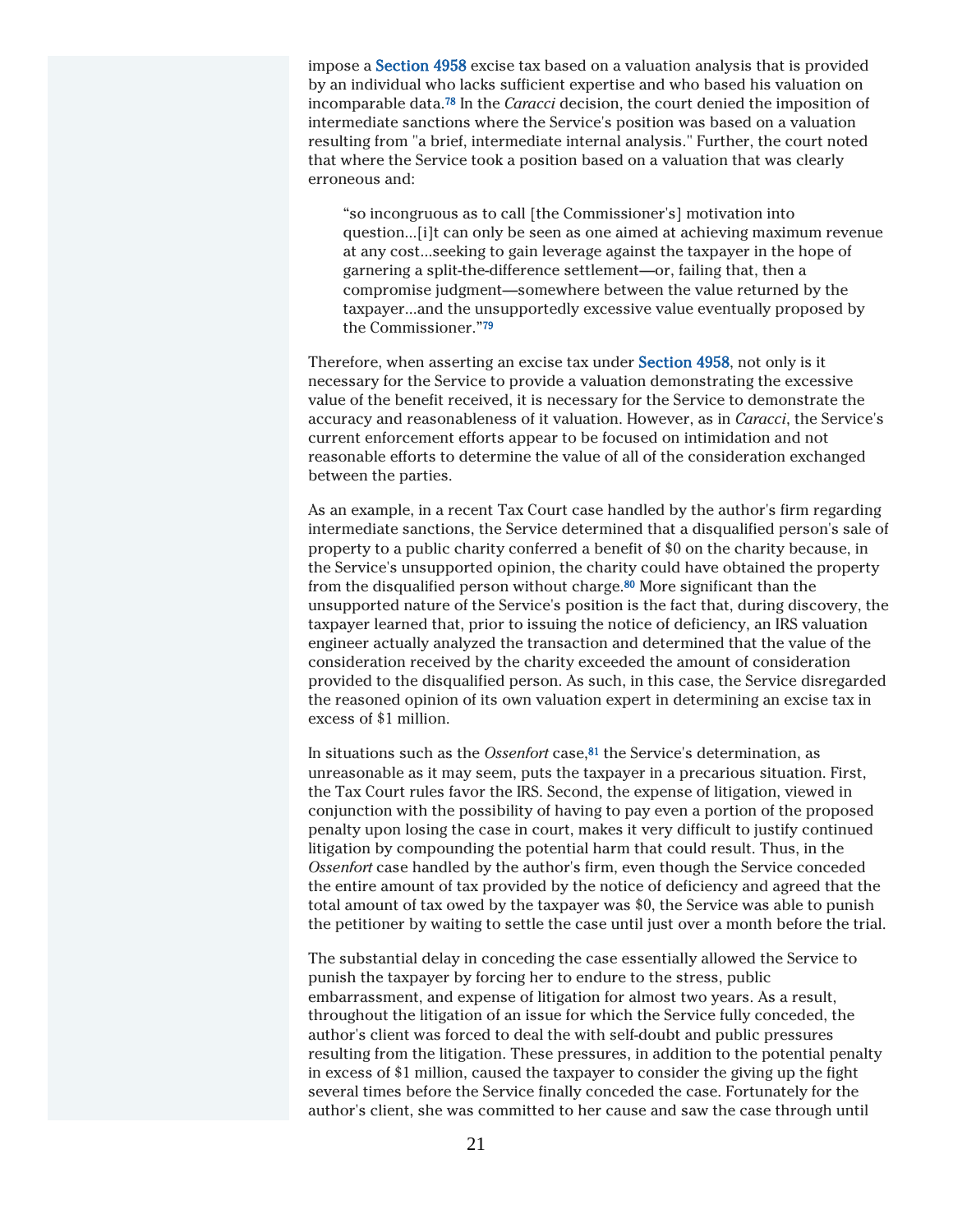impose a Section 4958 excise tax based on a valuation analysis that is provided by an individual who lacks sufficient expertise and who based his valuation on incomparable data.<sup>78</sup> In the *Caracci* decision, the court denied the imposition of intermediate sanctions where the Service's position was based on a valuation resulting from "a brief, intermediate internal analysis." Further, the court noted that where the Service took a position based on a valuation that was clearly erroneous and:

"so incongruous as to call [the Commissioner's] motivation into question...[i]t can only be seen as one aimed at achieving maximum revenue at any cost...seeking to gain leverage against the taxpayer in the hope of garnering a split-the-difference settlement—or, failing that, then a compromise judgment—somewhere between the value returned by the taxpayer...and the unsupportedly excessive value eventually proposed by the Commissioner."<sup>79</sup>

Therefore, when asserting an excise tax under Section 4958, not only is it necessary for the Service to provide a valuation demonstrating the excessive value of the benefit received, it is necessary for the Service to demonstrate the accuracy and reasonableness of it valuation. However, as in *Caracci*, the Service's current enforcement efforts appear to be focused on intimidation and not reasonable efforts to determine the value of all of the consideration exchanged between the parties.

As an example, in a recent Tax Court case handled by the author's firm regarding intermediate sanctions, the Service determined that a disqualified person's sale of property to a public charity conferred a benefit of \$0 on the charity because, in the Service's unsupported opinion, the charity could have obtained the property from the disqualified person without charge.<sup>80</sup> More significant than the unsupported nature of the Service's position is the fact that, during discovery, the taxpayer learned that, prior to issuing the notice of deficiency, an IRS valuation engineer actually analyzed the transaction and determined that the value of the consideration received by the charity exceeded the amount of consideration provided to the disqualified person. As such, in this case, the Service disregarded the reasoned opinion of its own valuation expert in determining an excise tax in excess of \$1 million.

In situations such as the *Ossenfort* case,<sup>81</sup> the Service's determination, as unreasonable as it may seem, puts the taxpayer in a precarious situation. First, the Tax Court rules favor the IRS. Second, the expense of litigation, viewed in conjunction with the possibility of having to pay even a portion of the proposed penalty upon losing the case in court, makes it very difficult to justify continued litigation by compounding the potential harm that could result. Thus, in the *Ossenfort* case handled by the author's firm, even though the Service conceded the entire amount of tax provided by the notice of deficiency and agreed that the total amount of tax owed by the taxpayer was \$0, the Service was able to punish the petitioner by waiting to settle the case until just over a month before the trial.

The substantial delay in conceding the case essentially allowed the Service to punish the taxpayer by forcing her to endure to the stress, public embarrassment, and expense of litigation for almost two years. As a result, throughout the litigation of an issue for which the Service fully conceded, the author's client was forced to deal the with self-doubt and public pressures resulting from the litigation. These pressures, in addition to the potential penalty in excess of \$1 million, caused the taxpayer to consider the giving up the fight several times before the Service finally conceded the case. Fortunately for the author's client, she was committed to her cause and saw the case through until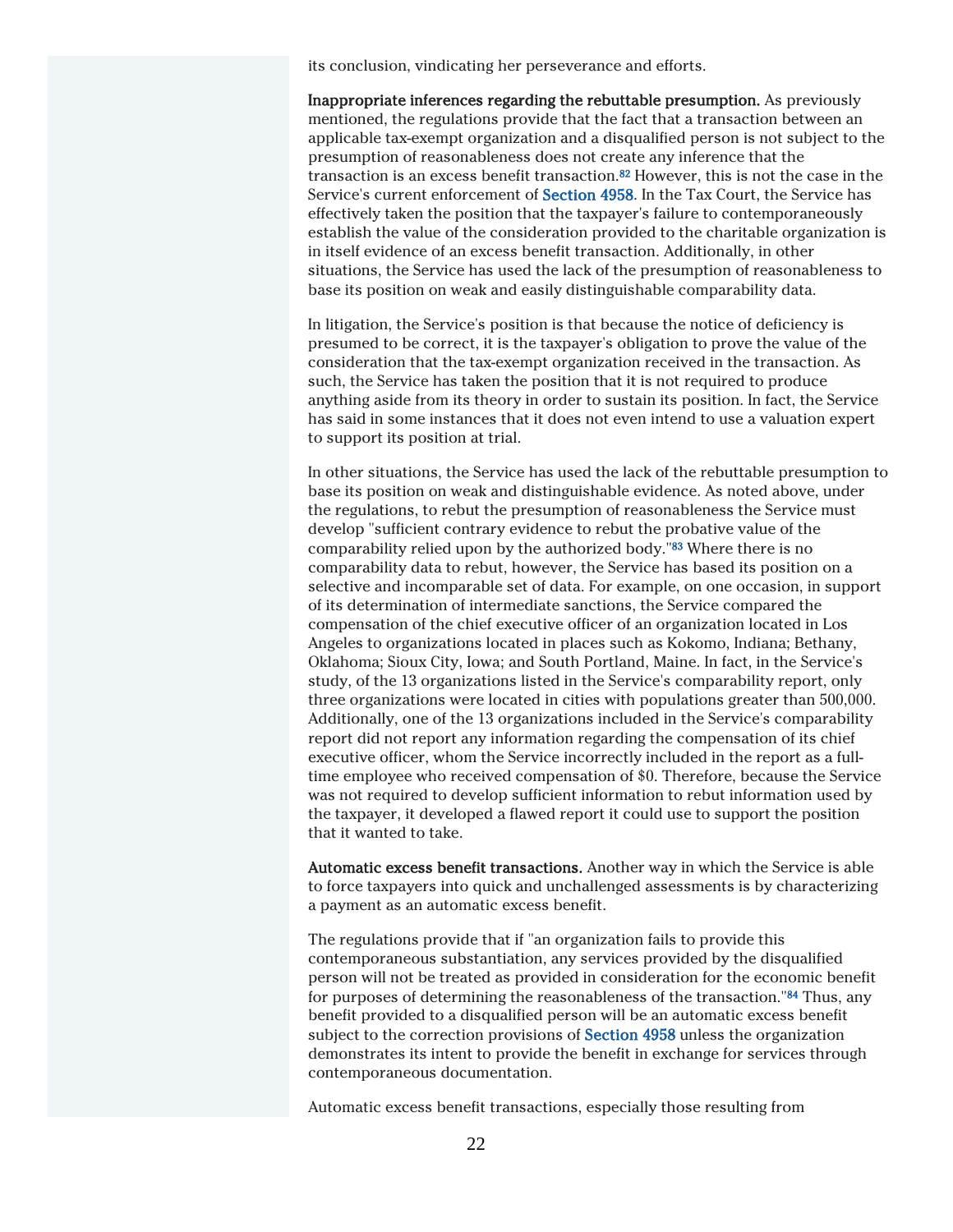its conclusion, vindicating her perseverance and efforts.

Inappropriate inferences regarding the rebuttable presumption. As previously mentioned, the regulations provide that the fact that a transaction between an applicable tax-exempt organization and a disqualified person is not subject to the presumption of reasonableness does not create any inference that the transaction is an excess benefit transaction.<sup>82</sup> However, this is not the case in the Service's current enforcement of Section 4958. In the Tax Court, the Service has effectively taken the position that the taxpayer's failure to contemporaneously establish the value of the consideration provided to the charitable organization is in itself evidence of an excess benefit transaction. Additionally, in other situations, the Service has used the lack of the presumption of reasonableness to base its position on weak and easily distinguishable comparability data.

In litigation, the Service's position is that because the notice of deficiency is presumed to be correct, it is the taxpayer's obligation to prove the value of the consideration that the tax-exempt organization received in the transaction. As such, the Service has taken the position that it is not required to produce anything aside from its theory in order to sustain its position. In fact, the Service has said in some instances that it does not even intend to use a valuation expert to support its position at trial.

In other situations, the Service has used the lack of the rebuttable presumption to base its position on weak and distinguishable evidence. As noted above, under the regulations, to rebut the presumption of reasonableness the Service must develop "sufficient contrary evidence to rebut the probative value of the comparability relied upon by the authorized body."<sup>83</sup> Where there is no comparability data to rebut, however, the Service has based its position on a selective and incomparable set of data. For example, on one occasion, in support of its determination of intermediate sanctions, the Service compared the compensation of the chief executive officer of an organization located in Los Angeles to organizations located in places such as Kokomo, Indiana; Bethany, Oklahoma; Sioux City, Iowa; and South Portland, Maine. In fact, in the Service's study, of the 13 organizations listed in the Service's comparability report, only three organizations were located in cities with populations greater than 500,000. Additionally, one of the 13 organizations included in the Service's comparability report did not report any information regarding the compensation of its chief executive officer, whom the Service incorrectly included in the report as a fulltime employee who received compensation of \$0. Therefore, because the Service was not required to develop sufficient information to rebut information used by the taxpayer, it developed a flawed report it could use to support the position that it wanted to take.

Automatic excess benefit transactions. Another way in which the Service is able to force taxpayers into quick and unchallenged assessments is by characterizing a payment as an automatic excess benefit.

The regulations provide that if "an organization fails to provide this contemporaneous substantiation, any services provided by the disqualified person will not be treated as provided in consideration for the economic benefit for purposes of determining the reasonableness of the transaction."<sup>84</sup> Thus, any benefit provided to a disqualified person will be an automatic excess benefit subject to the correction provisions of Section 4958 unless the organization demonstrates its intent to provide the benefit in exchange for services through contemporaneous documentation.

Automatic excess benefit transactions, especially those resulting from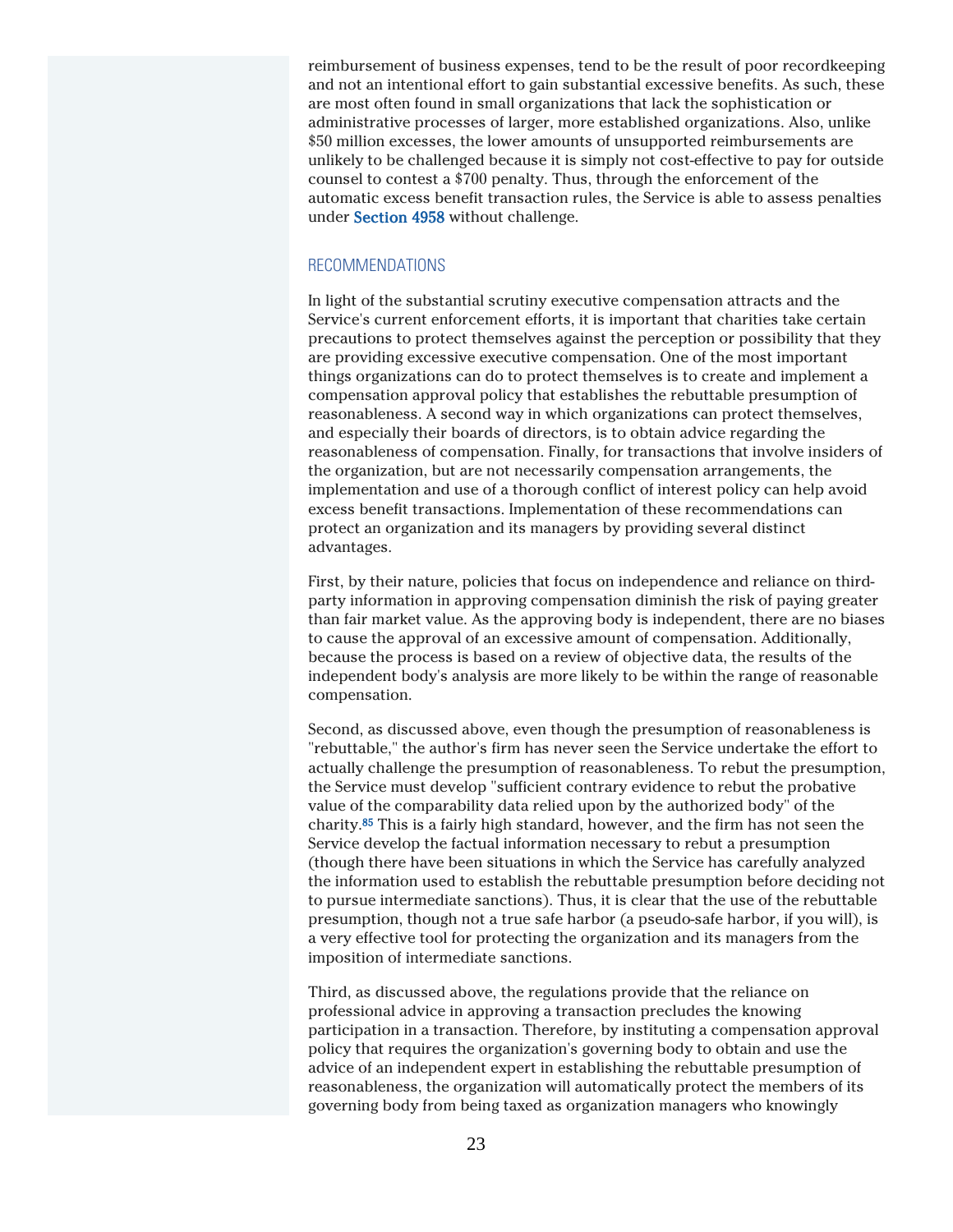reimbursement of business expenses, tend to be the result of poor recordkeeping and not an intentional effort to gain substantial excessive benefits. As such, these are most often found in small organizations that lack the sophistication or administrative processes of larger, more established organizations. Also, unlike \$50 million excesses, the lower amounts of unsupported reimbursements are unlikely to be challenged because it is simply not cost-effective to pay for outside counsel to contest a \$700 penalty. Thus, through the enforcement of the automatic excess benefit transaction rules, the Service is able to assess penalties under Section 4958 without challenge.

#### RECOMMENDATIONS

In light of the substantial scrutiny executive compensation attracts and the Service's current enforcement efforts, it is important that charities take certain precautions to protect themselves against the perception or possibility that they are providing excessive executive compensation. One of the most important things organizations can do to protect themselves is to create and implement a compensation approval policy that establishes the rebuttable presumption of reasonableness. A second way in which organizations can protect themselves, and especially their boards of directors, is to obtain advice regarding the reasonableness of compensation. Finally, for transactions that involve insiders of the organization, but are not necessarily compensation arrangements, the implementation and use of a thorough conflict of interest policy can help avoid excess benefit transactions. Implementation of these recommendations can protect an organization and its managers by providing several distinct advantages.

First, by their nature, policies that focus on independence and reliance on thirdparty information in approving compensation diminish the risk of paying greater than fair market value. As the approving body is independent, there are no biases to cause the approval of an excessive amount of compensation. Additionally, because the process is based on a review of objective data, the results of the independent body's analysis are more likely to be within the range of reasonable compensation.

Second, as discussed above, even though the presumption of reasonableness is "rebuttable," the author's firm has never seen the Service undertake the effort to actually challenge the presumption of reasonableness. To rebut the presumption, the Service must develop "sufficient contrary evidence to rebut the probative value of the comparability data relied upon by the authorized body" of the charity.<sup>85</sup> This is a fairly high standard, however, and the firm has not seen the Service develop the factual information necessary to rebut a presumption (though there have been situations in which the Service has carefully analyzed the information used to establish the rebuttable presumption before deciding not to pursue intermediate sanctions). Thus, it is clear that the use of the rebuttable presumption, though not a true safe harbor (a pseudo-safe harbor, if you will), is a very effective tool for protecting the organization and its managers from the imposition of intermediate sanctions.

Third, as discussed above, the regulations provide that the reliance on professional advice in approving a transaction precludes the knowing participation in a transaction. Therefore, by instituting a compensation approval policy that requires the organization's governing body to obtain and use the advice of an independent expert in establishing the rebuttable presumption of reasonableness, the organization will automatically protect the members of its governing body from being taxed as organization managers who knowingly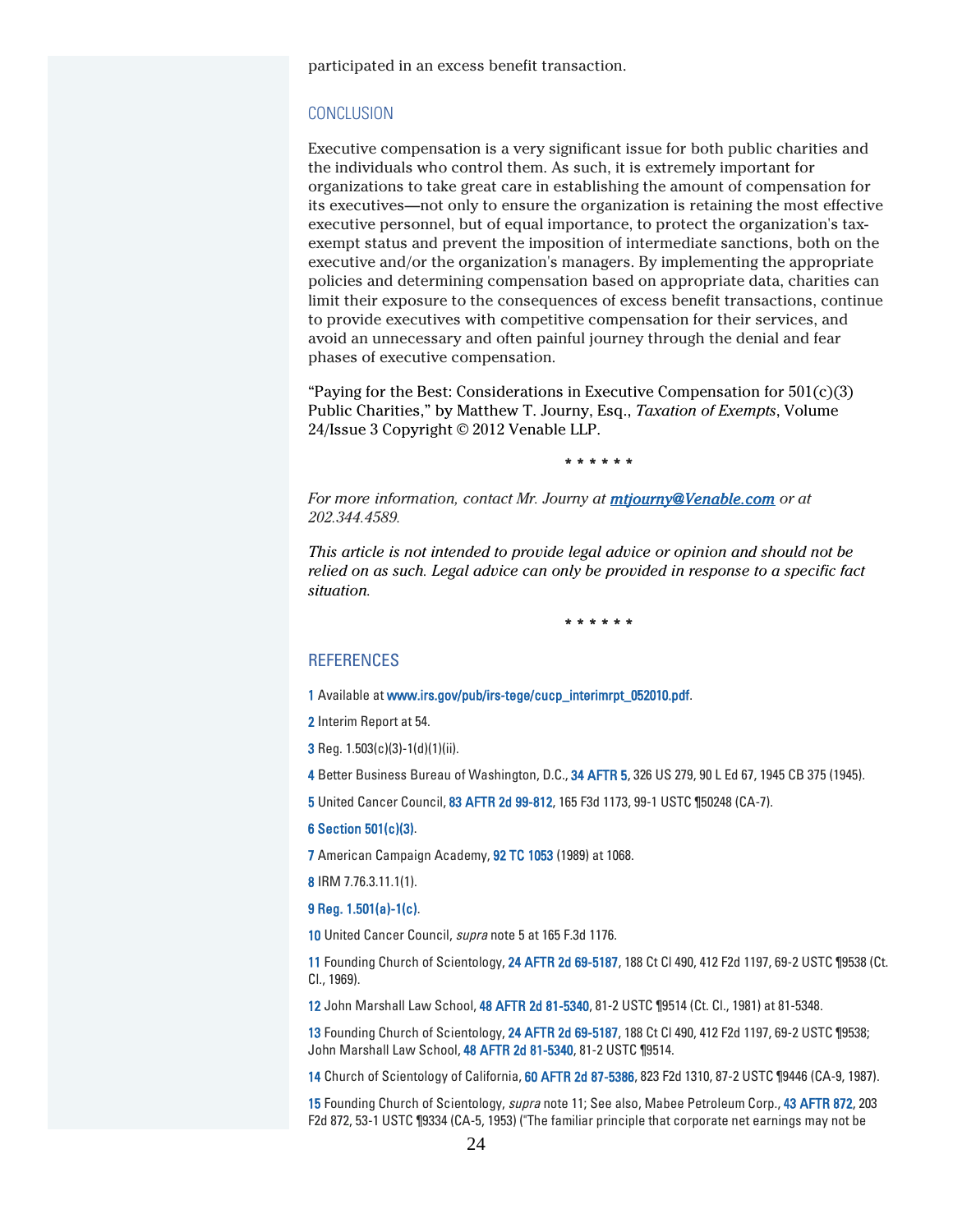participated in an excess benefit transaction.

#### **CONCLUSION**

Executive compensation is a very significant issue for both public charities and the individuals who control them. As such, it is extremely important for organizations to take great care in establishing the amount of compensation for its executives—not only to ensure the organization is retaining the most effective executive personnel, but of equal importance, to protect the organization's taxexempt status and prevent the imposition of intermediate sanctions, both on the executive and/or the organization's managers. By implementing the appropriate policies and determining compensation based on appropriate data, charities can limit their exposure to the consequences of excess benefit transactions, continue to provide executives with competitive compensation for their services, and avoid an unnecessary and often painful journey through the denial and fear phases of executive compensation.

"Paying for the Best: Considerations in Executive Compensation for  $501(c)(3)$ Public Charities," by Matthew T. Journy, Esq., *Taxation of Exempts*, Volume 24/Issue 3 Copyright © 2012 Venable LLP.

\* \* \* \* \* \*

*For more information, contact Mr. Journy at mtjourny@Venable.com or at 202.344.4589.*

*This article is not intended to provide legal advice or opinion and should not be relied on as such. Legal advice can only be provided in response to a specific fact situation.*

\* \* \* \* \* \*

#### **REFERENCES**

- 1 Available at www.irs.gov/pub/irs-tege/cucp\_interimrpt\_052010.pdf.
- 2 Interim Report at 54.
- **3** Reg.  $1.503(c)(3)-1(d)(1)(ii)$ .
- 4 Better Business Bureau of Washington, D.C., 34 AFTR 5, 326 US 279, 90 L Ed 67, 1945 CB 375 (1945).
- 5 United Cancer Council, 83 AFTR 2d 99-812, 165 F3d 1173, 99-1 USTC ¶50248 (CA-7).

#### 6 Section 501(c)(3).

7 American Campaign Academy, 92 TC 1053 (1989) at 1068.

8 IRM 7.76.3.11.1(1).

#### 9 Reg. 1.501(a)-1(c).

10 United Cancer Council, supra note 5 at 165 F.3d 1176.

11 Founding Church of Scientology, 24 AFTR 2d 69-5187, 188 Ct Cl 490, 412 F2d 1197, 69-2 USTC ¶9538 (Ct. Cl., 1969).

12 John Marshall Law School, 48 AFTR 2d 81-5340, 81-2 USTC ¶9514 (Ct. Cl., 1981) at 81-5348.

13 Founding Church of Scientology, 24 AFTR 2d 69-5187, 188 Ct Cl 490, 412 F2d 1197, 69-2 USTC ¶9538; John Marshall Law School, 48 AFTR 2d 81-5340, 81-2 USTC ¶9514.

14 Church of Scientology of California, 60 AFTR 2d 87-5386, 823 F2d 1310, 87-2 USTC ¶9446 (CA-9, 1987).

15 Founding Church of Scientology, supra note 11; See also, Mabee Petroleum Corp., 43 AFTR 872, 203 F2d 872, 53-1 USTC ¶9334 (CA-5, 1953) ("The familiar principle that corporate net earnings may not be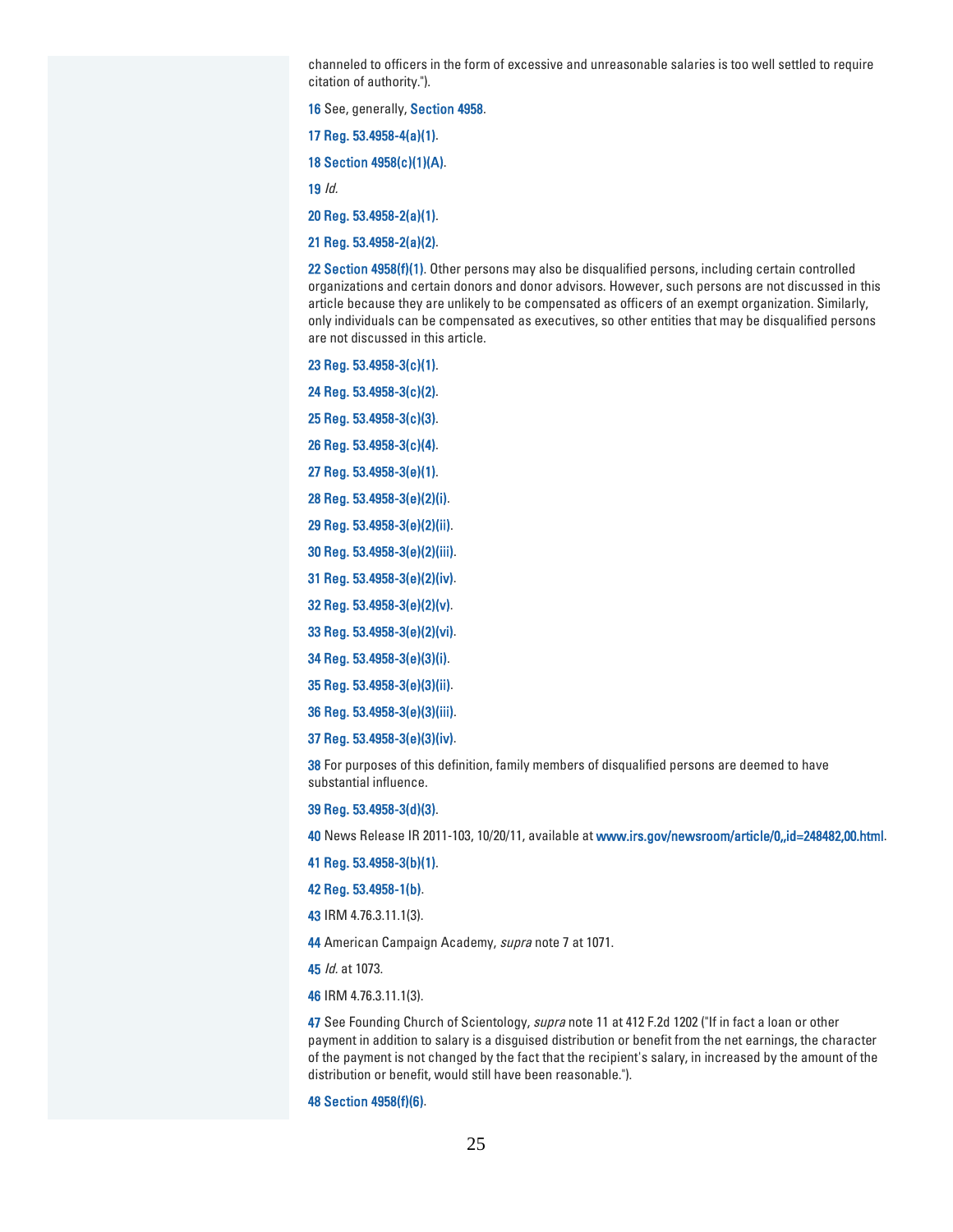channeled to officers in the form of excessive and unreasonable salaries is too well settled to require citation of authority.").

See, generally, Section 4958.

Reg. 53.4958-4(a)(1).

Section 4958(c)(1)(A).

Id.

Reg. 53.4958-2(a)(1).

Reg. 53.4958-2(a)(2).

22 Section 4958(f)(1). Other persons may also be disqualified persons, including certain controlled organizations and certain donors and donor advisors. However, such persons are not discussed in this article because they are unlikely to be compensated as officers of an exempt organization. Similarly, only individuals can be compensated as executives, so other entities that may be disqualified persons are not discussed in this article.

Reg. 53.4958-3(c)(1).

Reg. 53.4958-3(c)(2).

Reg. 53.4958-3(c)(3).

Reg. 53.4958-3(c)(4).

Reg. 53.4958-3(e)(1).

Reg. 53.4958-3(e)(2)(i).

Reg. 53.4958-3(e)(2)(ii).

Reg. 53.4958-3(e)(2)(iii).

Reg. 53.4958-3(e)(2)(iv).

Reg. 53.4958-3(e)(2)(v).

Reg. 53.4958-3(e)(2)(vi).

Reg. 53.4958-3(e)(3)(i).

Reg. 53.4958-3(e)(3)(ii).

Reg. 53.4958-3(e)(3)(iii).

Reg. 53.4958-3(e)(3)(iv).

38 For purposes of this definition, family members of disqualified persons are deemed to have substantial influence.

Reg. 53.4958-3(d)(3).

News Release IR 2011-103, 10/20/11, available at www.irs.gov/newsroom/article/0,,id=248482,00.html.

Reg. 53.4958-3(b)(1).

Reg. 53.4958-1(b).

IRM 4.76.3.11.1(3).

44 American Campaign Academy, supra note 7 at 1071.

*ld.* at 1073.

IRM 4.76.3.11.1(3).

47 See Founding Church of Scientology, *supra* note 11 at 412 F.2d 1202 ("If in fact a loan or other payment in addition to salary is a disguised distribution or benefit from the net earnings, the character of the payment is not changed by the fact that the recipient's salary, in increased by the amount of the distribution or benefit, would still have been reasonable.").

Section 4958(f)(6).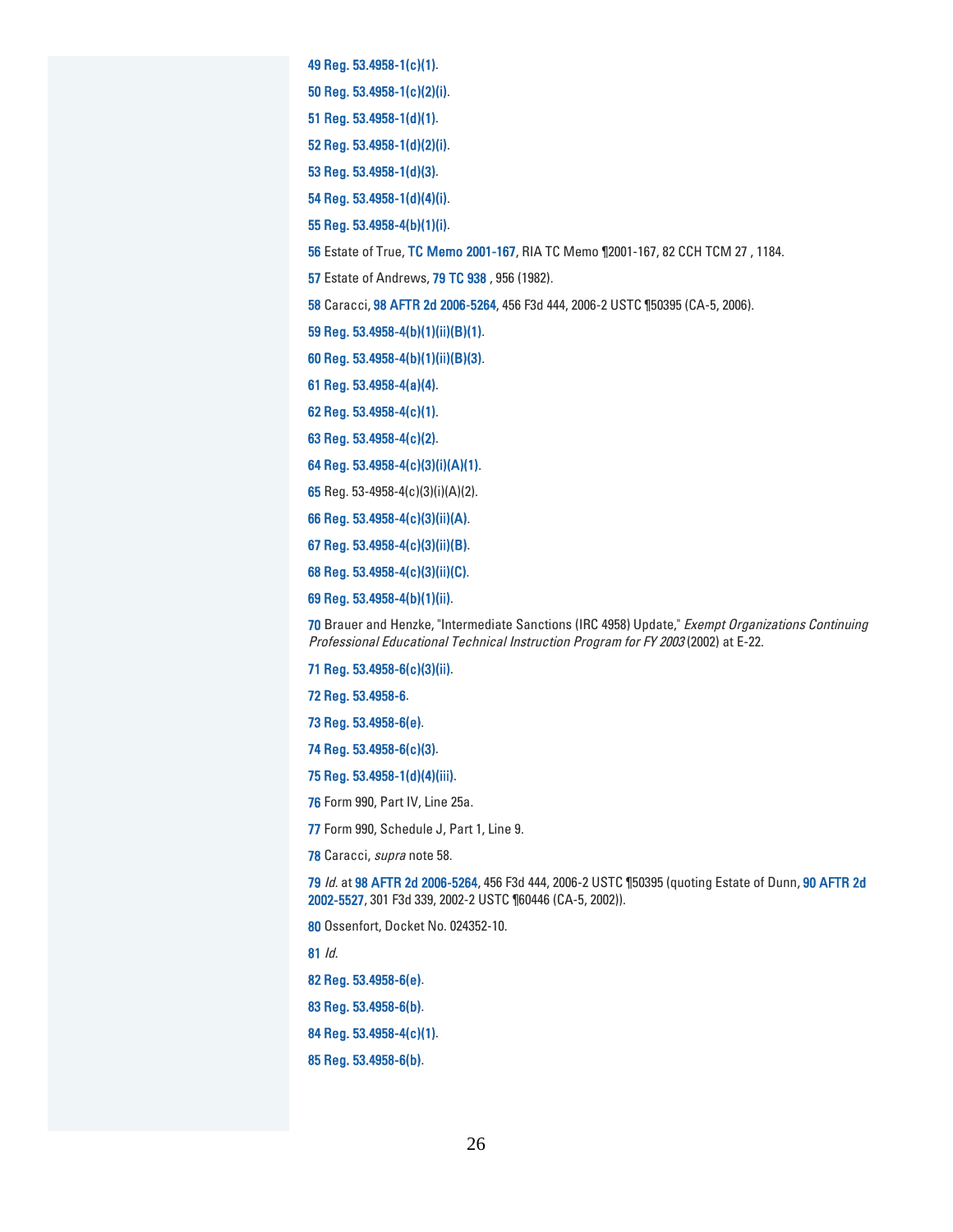Reg. 53.4958-1(c)(1).

Reg. 53.4958-1(c)(2)(i).

Reg. 53.4958-1(d)(1).

Reg. 53.4958-1(d)(2)(i).

Reg. 53.4958-1(d)(3).

Reg. 53.4958-1(d)(4)(i).

Reg. 53.4958-4(b)(1)(i).

Estate of True, TC Memo 2001-167, RIA TC Memo ¶2001-167, 82 CCH TCM 27 , 1184.

Estate of Andrews, 79 TC 938 , 956 (1982).

Caracci, 98 AFTR 2d 2006-5264, 456 F3d 444, 2006-2 USTC ¶50395 (CA-5, 2006).

Reg. 53.4958-4(b)(1)(ii)(B)(1).

Reg. 53.4958-4(b)(1)(ii)(B)(3).

Reg. 53.4958-4(a)(4).

Reg. 53.4958-4(c)(1).

Reg. 53.4958-4(c)(2).

Reg. 53.4958-4(c)(3)(i)(A)(1).

Reg. 53-4958-4(c)(3)(i)(A)(2).

Reg. 53.4958-4(c)(3)(ii)(A).

Reg. 53.4958-4(c)(3)(ii)(B).

Reg. 53.4958-4(c)(3)(ii)(C).

Reg. 53.4958-4(b)(1)(ii).

70 Brauer and Henzke, "Intermediate Sanctions (IRC 4958) Update," Exempt Organizations Continuing Professional Educational Technical Instruction Program for FY 2003 (2002) at E-22.

Reg. 53.4958-6(c)(3)(ii).

Reg. 53.4958-6.

Reg. 53.4958-6(e).

Reg. 53.4958-6(c)(3).

Reg. 53.4958-1(d)(4)(iii).

Form 990, Part IV, Line 25a.

Form 990, Schedule J, Part 1, Line 9.

78 Caracci, supra note 58.

 Id. at 98 AFTR 2d 2006-5264, 456 F3d 444, 2006-2 USTC ¶50395 (quoting Estate of Dunn, 90 AFTR 2d 2002-5527, 301 F3d 339, 2002-2 USTC ¶60446 (CA-5, 2002)).

Ossenfort, Docket No. 024352-10.

Id.

Reg. 53.4958-6(e).

Reg. 53.4958-6(b).

Reg. 53.4958-4(c)(1).

Reg. 53.4958-6(b).